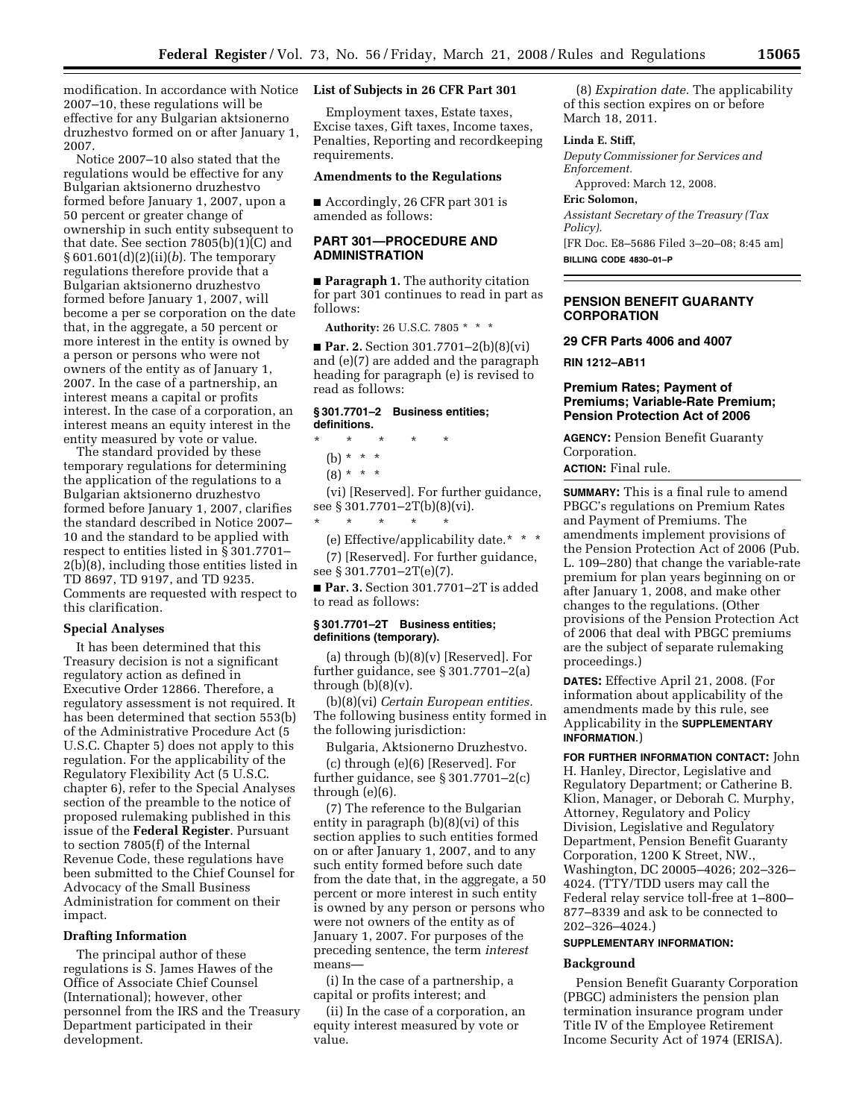modification. In accordance with Notice 2007–10, these regulations will be effective for any Bulgarian aktsionerno druzhestvo formed on or after January 1, 2007.

Notice 2007–10 also stated that the regulations would be effective for any Bulgarian aktsionerno druzhestvo formed before January 1, 2007, upon a 50 percent or greater change of ownership in such entity subsequent to that date. See section 7805(b)(1)(C) and § 601.601(d)(2)(ii)(*b*). The temporary regulations therefore provide that a Bulgarian aktsionerno druzhestvo formed before January 1, 2007, will become a per se corporation on the date that, in the aggregate, a 50 percent or more interest in the entity is owned by a person or persons who were not owners of the entity as of January 1, 2007. In the case of a partnership, an interest means a capital or profits interest. In the case of a corporation, an interest means an equity interest in the entity measured by vote or value.

The standard provided by these temporary regulations for determining the application of the regulations to a Bulgarian aktsionerno druzhestvo formed before January 1, 2007, clarifies the standard described in Notice 2007– 10 and the standard to be applied with respect to entities listed in § 301.7701– 2(b)(8), including those entities listed in TD 8697, TD 9197, and TD 9235. Comments are requested with respect to this clarification.

#### **Special Analyses**

It has been determined that this Treasury decision is not a significant regulatory action as defined in Executive Order 12866. Therefore, a regulatory assessment is not required. It has been determined that section 553(b) of the Administrative Procedure Act (5 U.S.C. Chapter 5) does not apply to this regulation. For the applicability of the Regulatory Flexibility Act (5 U.S.C. chapter 6), refer to the Special Analyses section of the preamble to the notice of proposed rulemaking published in this issue of the **Federal Register**. Pursuant to section 7805(f) of the Internal Revenue Code, these regulations have been submitted to the Chief Counsel for Advocacy of the Small Business Administration for comment on their impact.

### **Drafting Information**

The principal author of these regulations is S. James Hawes of the Office of Associate Chief Counsel (International); however, other personnel from the IRS and the Treasury Department participated in their development.

#### **List of Subjects in 26 CFR Part 301**

Employment taxes, Estate taxes, Excise taxes, Gift taxes, Income taxes, Penalties, Reporting and recordkeeping requirements.

### **Amendments to the Regulations**

■ Accordingly, 26 CFR part 301 is amended as follows:

# **PART 301—PROCEDURE AND ADMINISTRATION**

■ **Paragraph 1.** The authority citation for part 301 continues to read in part as follows:

**Authority:** 26 U.S.C. 7805 \* \* \*

■ **Par. 2.** Section 301.7701–2(b)(8)(vi) and (e)(7) are added and the paragraph heading for paragraph (e) is revised to read as follows:

# **§ 301.7701–2 Business entities; definitions.**

- \* \* \* \* \*
- (b) \* \* \*
- $(8) * * * *$

(vi) [Reserved]. For further guidance, see § 301.7701–2T(b)(8)(vi).

\* \* \* \* \* (e) Effective/applicability date.\* \* \* (7) [Reserved]. For further guidance, see § 301.7701–2T(e)(7).

■ **Par. 3.** Section 301.7701–2T is added to read as follows:

# **§ 301.7701–2T Business entities; definitions (temporary).**

(a) through (b)(8)(v) [Reserved]. For further guidance, see § 301.7701–2(a) through  $(b)(8)(v)$ .

(b)(8)(vi) *Certain European entities.*  The following business entity formed in the following jurisdiction:

Bulgaria, Aktsionerno Druzhestvo.

(c) through (e)(6) [Reserved]. For further guidance, see § 301.7701–2(c) through (e)(6).

(7) The reference to the Bulgarian entity in paragraph (b)(8)(vi) of this section applies to such entities formed on or after January 1, 2007, and to any such entity formed before such date from the date that, in the aggregate, a 50 percent or more interest in such entity is owned by any person or persons who were not owners of the entity as of January 1, 2007. For purposes of the preceding sentence, the term *interest*  means—

(i) In the case of a partnership, a capital or profits interest; and

(ii) In the case of a corporation, an equity interest measured by vote or value.

(8) *Expiration date.* The applicability of this section expires on or before March 18, 2011.

#### **Linda E. Stiff,**

*Deputy Commissioner for Services and Enforcement.* 

Approved: March 12, 2008.

**Eric Solomon,**  *Assistant Secretary of the Treasury (Tax Policy).*  [FR Doc. E8–5686 Filed 3–20–08; 8:45 am] **BILLING CODE 4830–01–P** 

# **PENSION BENEFIT GUARANTY CORPORATION**

#### **29 CFR Parts 4006 and 4007**

**RIN 1212–AB11** 

# **Premium Rates; Payment of Premiums; Variable-Rate Premium; Pension Protection Act of 2006**

**AGENCY:** Pension Benefit Guaranty Corporation.

**ACTION:** Final rule.

**SUMMARY:** This is a final rule to amend PBGC's regulations on Premium Rates and Payment of Premiums. The amendments implement provisions of the Pension Protection Act of 2006 (Pub. L. 109–280) that change the variable-rate premium for plan years beginning on or after January 1, 2008, and make other changes to the regulations. (Other provisions of the Pension Protection Act of 2006 that deal with PBGC premiums are the subject of separate rulemaking proceedings.)

**DATES:** Effective April 21, 2008. (For information about applicability of the amendments made by this rule, see Applicability in the **SUPPLEMENTARY INFORMATION**.)

**FOR FURTHER INFORMATION CONTACT:** John H. Hanley, Director, Legislative and Regulatory Department; or Catherine B. Klion, Manager, or Deborah C. Murphy, Attorney, Regulatory and Policy Division, Legislative and Regulatory Department, Pension Benefit Guaranty Corporation, 1200 K Street, NW., Washington, DC 20005–4026; 202–326– 4024. (TTY/TDD users may call the Federal relay service toll-free at 1–800– 877–8339 and ask to be connected to 202–326–4024.)

### **SUPPLEMENTARY INFORMATION:**

#### **Background**

Pension Benefit Guaranty Corporation (PBGC) administers the pension plan termination insurance program under Title IV of the Employee Retirement Income Security Act of 1974 (ERISA).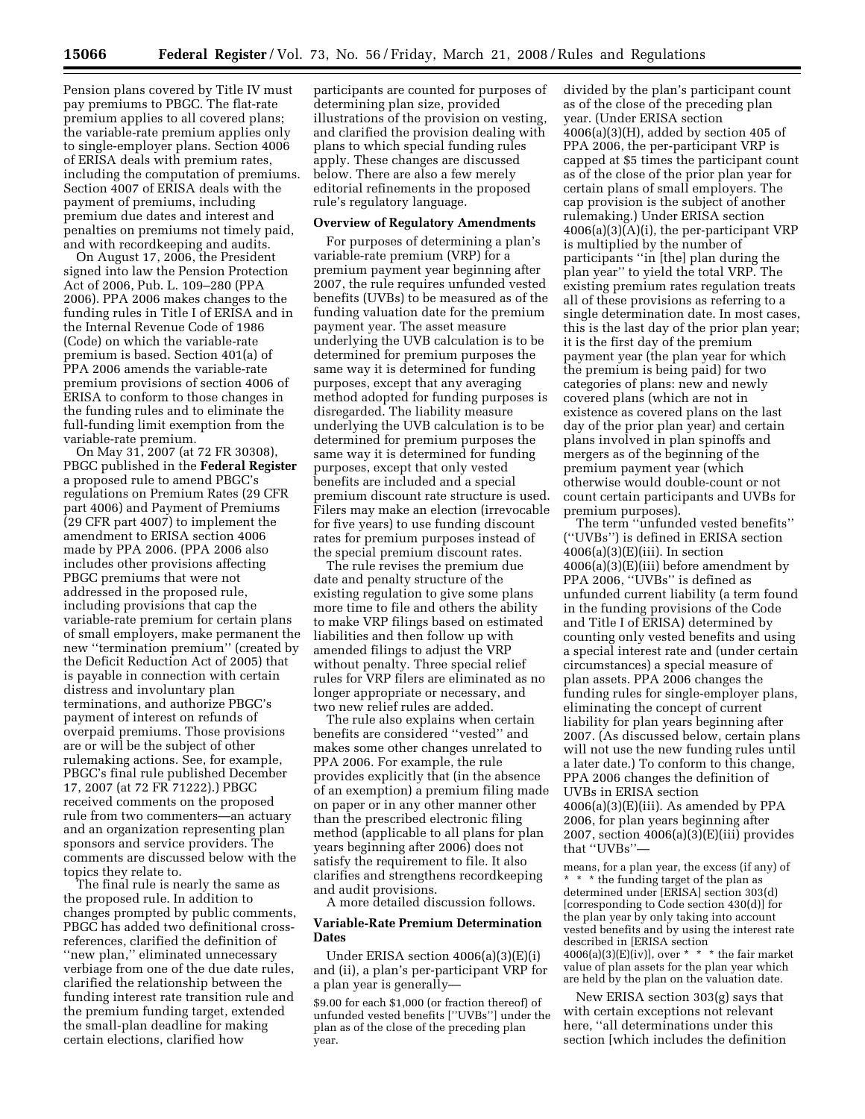Pension plans covered by Title IV must pay premiums to PBGC. The flat-rate premium applies to all covered plans; the variable-rate premium applies only to single-employer plans. Section 4006 of ERISA deals with premium rates, including the computation of premiums. Section 4007 of ERISA deals with the payment of premiums, including premium due dates and interest and penalties on premiums not timely paid, and with recordkeeping and audits.

On August 17, 2006, the President signed into law the Pension Protection Act of 2006, Pub. L. 109–280 (PPA 2006). PPA 2006 makes changes to the funding rules in Title I of ERISA and in the Internal Revenue Code of 1986 (Code) on which the variable-rate premium is based. Section 401(a) of PPA 2006 amends the variable-rate premium provisions of section 4006 of ERISA to conform to those changes in the funding rules and to eliminate the full-funding limit exemption from the variable-rate premium.

On May 31, 2007 (at 72 FR 30308), PBGC published in the **Federal Register**  a proposed rule to amend PBGC's regulations on Premium Rates (29 CFR part 4006) and Payment of Premiums (29 CFR part 4007) to implement the amendment to ERISA section 4006 made by PPA 2006. (PPA 2006 also includes other provisions affecting PBGC premiums that were not addressed in the proposed rule, including provisions that cap the variable-rate premium for certain plans of small employers, make permanent the new ''termination premium'' (created by the Deficit Reduction Act of 2005) that is payable in connection with certain distress and involuntary plan terminations, and authorize PBGC's payment of interest on refunds of overpaid premiums. Those provisions are or will be the subject of other rulemaking actions. See, for example, PBGC's final rule published December 17, 2007 (at 72 FR 71222).) PBGC received comments on the proposed rule from two commenters—an actuary and an organization representing plan sponsors and service providers. The comments are discussed below with the topics they relate to.

The final rule is nearly the same as the proposed rule. In addition to changes prompted by public comments, PBGC has added two definitional crossreferences, clarified the definition of ''new plan,'' eliminated unnecessary verbiage from one of the due date rules, clarified the relationship between the funding interest rate transition rule and the premium funding target, extended the small-plan deadline for making certain elections, clarified how

participants are counted for purposes of determining plan size, provided illustrations of the provision on vesting, and clarified the provision dealing with plans to which special funding rules apply. These changes are discussed below. There are also a few merely editorial refinements in the proposed rule's regulatory language.

# **Overview of Regulatory Amendments**

For purposes of determining a plan's variable-rate premium (VRP) for a premium payment year beginning after 2007, the rule requires unfunded vested benefits (UVBs) to be measured as of the funding valuation date for the premium payment year. The asset measure underlying the UVB calculation is to be determined for premium purposes the same way it is determined for funding purposes, except that any averaging method adopted for funding purposes is disregarded. The liability measure underlying the UVB calculation is to be determined for premium purposes the same way it is determined for funding purposes, except that only vested benefits are included and a special premium discount rate structure is used. Filers may make an election (irrevocable for five years) to use funding discount rates for premium purposes instead of the special premium discount rates.

The rule revises the premium due date and penalty structure of the existing regulation to give some plans more time to file and others the ability to make VRP filings based on estimated liabilities and then follow up with amended filings to adjust the VRP without penalty. Three special relief rules for VRP filers are eliminated as no longer appropriate or necessary, and two new relief rules are added.

The rule also explains when certain benefits are considered ''vested'' and makes some other changes unrelated to PPA 2006. For example, the rule provides explicitly that (in the absence of an exemption) a premium filing made on paper or in any other manner other than the prescribed electronic filing method (applicable to all plans for plan years beginning after 2006) does not satisfy the requirement to file. It also clarifies and strengthens recordkeeping and audit provisions.

A more detailed discussion follows.

### **Variable-Rate Premium Determination Dates**

Under ERISA section 4006(a)(3)(E)(i) and (ii), a plan's per-participant VRP for a plan year is generally—

\$9.00 for each \$1,000 (or fraction thereof) of unfunded vested benefits [''UVBs''] under the plan as of the close of the preceding plan year.

divided by the plan's participant count as of the close of the preceding plan year. (Under ERISA section  $4006(a)(3)(H)$ , added by section 405 of PPA 2006, the per-participant VRP is capped at \$5 times the participant count as of the close of the prior plan year for certain plans of small employers. The cap provision is the subject of another rulemaking.) Under ERISA section 4006(a)(3)(A)(i), the per-participant VRP is multiplied by the number of participants ''in [the] plan during the plan year'' to yield the total VRP. The existing premium rates regulation treats all of these provisions as referring to a single determination date. In most cases, this is the last day of the prior plan year; it is the first day of the premium payment year (the plan year for which the premium is being paid) for two categories of plans: new and newly covered plans (which are not in existence as covered plans on the last day of the prior plan year) and certain plans involved in plan spinoffs and mergers as of the beginning of the premium payment year (which otherwise would double-count or not count certain participants and UVBs for premium purposes).

The term ''unfunded vested benefits'' (''UVBs'') is defined in ERISA section  $4006(a)(3)(E)(iii)$ . In section  $4006(a)(3)(E)(iii)$  before amendment by PPA 2006, ''UVBs'' is defined as unfunded current liability (a term found in the funding provisions of the Code and Title I of ERISA) determined by counting only vested benefits and using a special interest rate and (under certain circumstances) a special measure of plan assets. PPA 2006 changes the funding rules for single-employer plans, eliminating the concept of current liability for plan years beginning after 2007. (As discussed below, certain plans will not use the new funding rules until a later date.) To conform to this change, PPA 2006 changes the definition of UVBs in ERISA section  $4006(a)(3)(E)(iii)$ . As amended by PPA 2006, for plan years beginning after  $2007$ , section  $4006(a)(3)(E)(iii)$  provides that ''UVBs''—

means, for a plan year, the excess (if any) of \* \* \* the funding target of the plan as determined under [ERISA] section 303(d) [corresponding to Code section 430(d)] for the plan year by only taking into account vested benefits and by using the interest rate described in [ERISA section  $4006(a)(3)(E)(iv)$ , over \* \* \* the fair market value of plan assets for the plan year which are held by the plan on the valuation date.

New ERISA section 303(g) says that with certain exceptions not relevant here, ''all determinations under this section [which includes the definition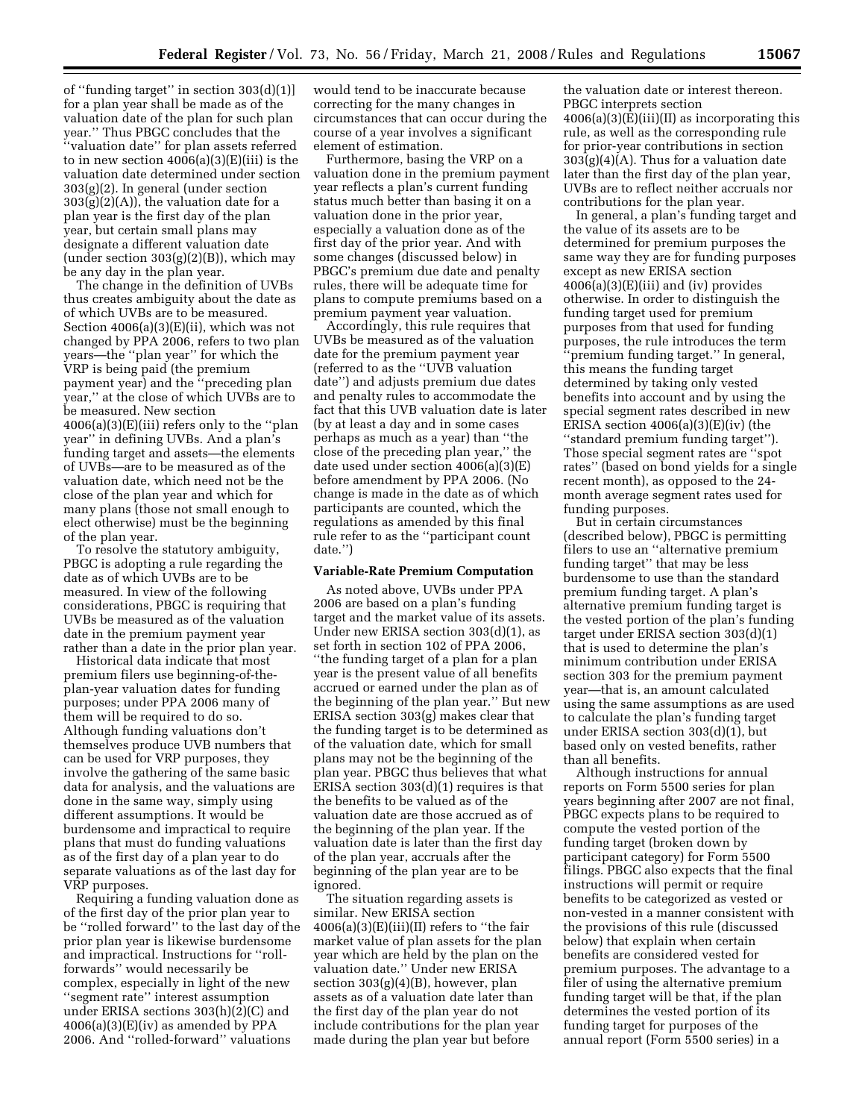of ''funding target'' in section 303(d)(1)] for a plan year shall be made as of the valuation date of the plan for such plan year.'' Thus PBGC concludes that the ''valuation date'' for plan assets referred to in new section 4006(a)(3)(E)(iii) is the valuation date determined under section 303(g)(2). In general (under section  $303(g)(2)(A)$ , the valuation date for a plan year is the first day of the plan year, but certain small plans may designate a different valuation date (under section  $303(g)(2)(B)$ ), which may be any day in the plan year.

The change in the definition of UVBs thus creates ambiguity about the date as of which UVBs are to be measured. Section 4006(a)(3)(E)(ii), which was not changed by PPA 2006, refers to two plan years—the ''plan year'' for which the VRP is being paid (the premium payment year) and the ''preceding plan year,'' at the close of which UVBs are to be measured. New section  $4006(a)(3)(E)(iii)$  refers only to the "plan" year'' in defining UVBs. And a plan's funding target and assets—the elements of UVBs—are to be measured as of the valuation date, which need not be the close of the plan year and which for many plans (those not small enough to elect otherwise) must be the beginning of the plan year.

To resolve the statutory ambiguity, PBGC is adopting a rule regarding the date as of which UVBs are to be measured. In view of the following considerations, PBGC is requiring that UVBs be measured as of the valuation date in the premium payment year rather than a date in the prior plan year.

Historical data indicate that most premium filers use beginning-of-theplan-year valuation dates for funding purposes; under PPA 2006 many of them will be required to do so. Although funding valuations don't themselves produce UVB numbers that can be used for VRP purposes, they involve the gathering of the same basic data for analysis, and the valuations are done in the same way, simply using different assumptions. It would be burdensome and impractical to require plans that must do funding valuations as of the first day of a plan year to do separate valuations as of the last day for VRP purposes.

Requiring a funding valuation done as of the first day of the prior plan year to be ''rolled forward'' to the last day of the prior plan year is likewise burdensome and impractical. Instructions for ''rollforwards'' would necessarily be complex, especially in light of the new ''segment rate'' interest assumption under ERISA sections 303(h)(2)(C) and  $4006(a)(3)(E)(iv)$  as amended by PPA 2006. And ''rolled-forward'' valuations

would tend to be inaccurate because correcting for the many changes in circumstances that can occur during the course of a year involves a significant element of estimation.

Furthermore, basing the VRP on a valuation done in the premium payment year reflects a plan's current funding status much better than basing it on a valuation done in the prior year, especially a valuation done as of the first day of the prior year. And with some changes (discussed below) in PBGC's premium due date and penalty rules, there will be adequate time for plans to compute premiums based on a premium payment year valuation.

Accordingly, this rule requires that UVBs be measured as of the valuation date for the premium payment year (referred to as the ''UVB valuation date'') and adjusts premium due dates and penalty rules to accommodate the fact that this UVB valuation date is later (by at least a day and in some cases perhaps as much as a year) than ''the close of the preceding plan year,'' the date used under section 4006(a)(3)(E) before amendment by PPA 2006. (No change is made in the date as of which participants are counted, which the regulations as amended by this final rule refer to as the ''participant count date.'')

### **Variable-Rate Premium Computation**

As noted above, UVBs under PPA 2006 are based on a plan's funding target and the market value of its assets. Under new ERISA section 303(d)(1), as set forth in section 102 of PPA 2006, ''the funding target of a plan for a plan year is the present value of all benefits accrued or earned under the plan as of the beginning of the plan year.'' But new ERISA section 303(g) makes clear that the funding target is to be determined as of the valuation date, which for small plans may not be the beginning of the plan year. PBGC thus believes that what ERISA section 303(d)(1) requires is that the benefits to be valued as of the valuation date are those accrued as of the beginning of the plan year. If the valuation date is later than the first day of the plan year, accruals after the beginning of the plan year are to be ignored.

The situation regarding assets is similar. New ERISA section 4006(a)(3)(E)(iii)(II) refers to ''the fair market value of plan assets for the plan year which are held by the plan on the valuation date.'' Under new ERISA section 303(g)(4)(B), however, plan assets as of a valuation date later than the first day of the plan year do not include contributions for the plan year made during the plan year but before

the valuation date or interest thereon. PBGC interprets section  $4006(a)(3)(E)(iii)(II)$  as incorporating this rule, as well as the corresponding rule for prior-year contributions in section  $303(g)(4)(A)$ . Thus for a valuation date later than the first day of the plan year, UVBs are to reflect neither accruals nor contributions for the plan year.

In general, a plan's funding target and the value of its assets are to be determined for premium purposes the same way they are for funding purposes except as new ERISA section  $4006(a)(3)(E)(iii)$  and (iv) provides otherwise. In order to distinguish the funding target used for premium purposes from that used for funding purposes, the rule introduces the term ''premium funding target.'' In general, this means the funding target determined by taking only vested benefits into account and by using the special segment rates described in new ERISA section  $4006(a)(3)(E)(iv)$  (the ''standard premium funding target''). Those special segment rates are ''spot rates'' (based on bond yields for a single recent month), as opposed to the 24 month average segment rates used for funding purposes.

But in certain circumstances (described below), PBGC is permitting filers to use an ''alternative premium funding target'' that may be less burdensome to use than the standard premium funding target. A plan's alternative premium funding target is the vested portion of the plan's funding target under ERISA section 303(d)(1) that is used to determine the plan's minimum contribution under ERISA section 303 for the premium payment year—that is, an amount calculated using the same assumptions as are used to calculate the plan's funding target under ERISA section 303(d)(1), but based only on vested benefits, rather than all benefits.

Although instructions for annual reports on Form 5500 series for plan years beginning after 2007 are not final, PBGC expects plans to be required to compute the vested portion of the funding target (broken down by participant category) for Form 5500 filings. PBGC also expects that the final instructions will permit or require benefits to be categorized as vested or non-vested in a manner consistent with the provisions of this rule (discussed below) that explain when certain benefits are considered vested for premium purposes. The advantage to a filer of using the alternative premium funding target will be that, if the plan determines the vested portion of its funding target for purposes of the annual report (Form 5500 series) in a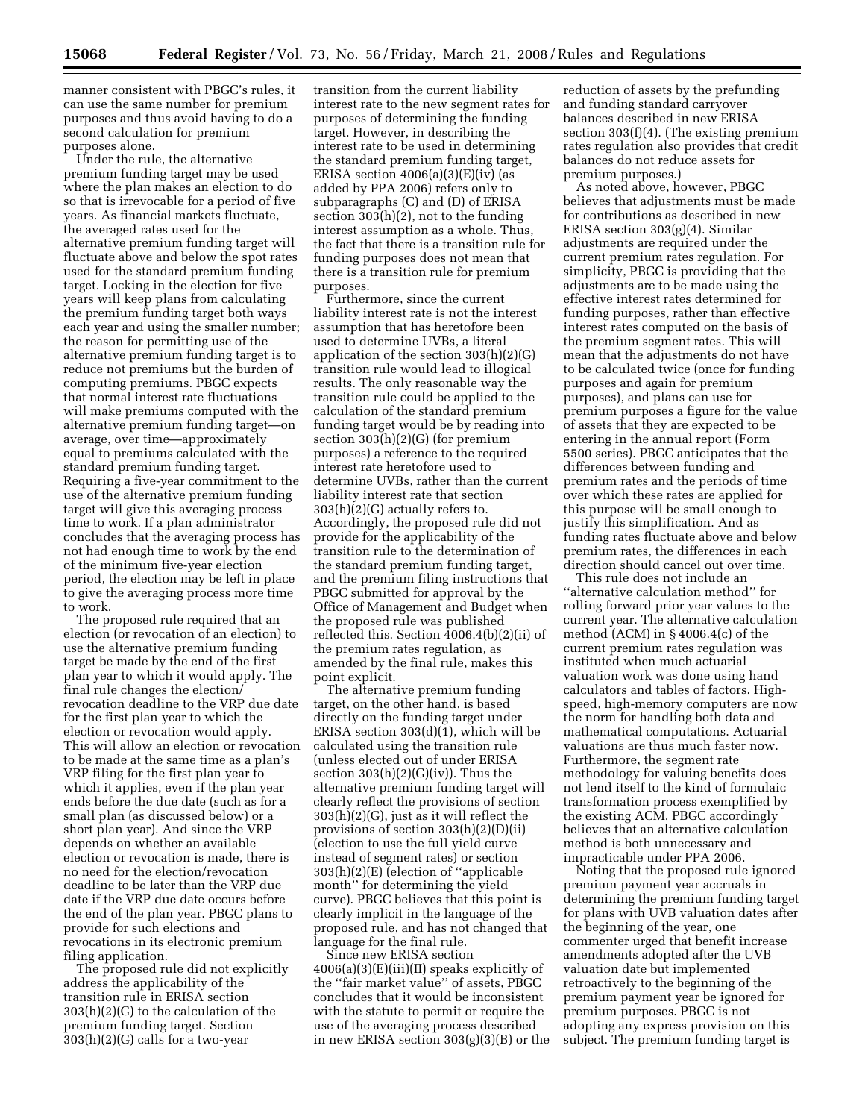manner consistent with PBGC's rules, it can use the same number for premium purposes and thus avoid having to do a second calculation for premium purposes alone.

Under the rule, the alternative premium funding target may be used where the plan makes an election to do so that is irrevocable for a period of five years. As financial markets fluctuate, the averaged rates used for the alternative premium funding target will fluctuate above and below the spot rates used for the standard premium funding target. Locking in the election for five years will keep plans from calculating the premium funding target both ways each year and using the smaller number; the reason for permitting use of the alternative premium funding target is to reduce not premiums but the burden of computing premiums. PBGC expects that normal interest rate fluctuations will make premiums computed with the alternative premium funding target—on average, over time—approximately equal to premiums calculated with the standard premium funding target. Requiring a five-year commitment to the use of the alternative premium funding target will give this averaging process time to work. If a plan administrator concludes that the averaging process has not had enough time to work by the end of the minimum five-year election period, the election may be left in place to give the averaging process more time to work.

The proposed rule required that an election (or revocation of an election) to use the alternative premium funding target be made by the end of the first plan year to which it would apply. The final rule changes the election/ revocation deadline to the VRP due date for the first plan year to which the election or revocation would apply. This will allow an election or revocation to be made at the same time as a plan's VRP filing for the first plan year to which it applies, even if the plan year ends before the due date (such as for a small plan (as discussed below) or a short plan year). And since the VRP depends on whether an available election or revocation is made, there is no need for the election/revocation deadline to be later than the VRP due date if the VRP due date occurs before the end of the plan year. PBGC plans to provide for such elections and revocations in its electronic premium filing application.

The proposed rule did not explicitly address the applicability of the transition rule in ERISA section 303(h)(2)(G) to the calculation of the premium funding target. Section 303(h)(2)(G) calls for a two-year

transition from the current liability interest rate to the new segment rates for purposes of determining the funding target. However, in describing the interest rate to be used in determining the standard premium funding target, ERISA section  $4006(a)(3)(E)(iv)$  (as added by PPA 2006) refers only to subparagraphs (C) and (D) of ERISA section 303(h)(2), not to the funding interest assumption as a whole. Thus, the fact that there is a transition rule for funding purposes does not mean that there is a transition rule for premium purposes.

Furthermore, since the current liability interest rate is not the interest assumption that has heretofore been used to determine UVBs, a literal application of the section 303(h)(2)(G) transition rule would lead to illogical results. The only reasonable way the transition rule could be applied to the calculation of the standard premium funding target would be by reading into section 303(h)(2)(G) (for premium purposes) a reference to the required interest rate heretofore used to determine UVBs, rather than the current liability interest rate that section 303(h)(2)(G) actually refers to. Accordingly, the proposed rule did not provide for the applicability of the transition rule to the determination of the standard premium funding target, and the premium filing instructions that PBGC submitted for approval by the Office of Management and Budget when the proposed rule was published reflected this. Section 4006.4(b)(2)(ii) of the premium rates regulation, as amended by the final rule, makes this point explicit.

The alternative premium funding target, on the other hand, is based directly on the funding target under ERISA section 303(d)(1), which will be calculated using the transition rule (unless elected out of under ERISA section  $303(h)(2)(G)(iv)$ . Thus the alternative premium funding target will clearly reflect the provisions of section 303(h)(2)(G), just as it will reflect the provisions of section 303(h)(2)(D)(ii) (election to use the full yield curve instead of segment rates) or section 303(h)(2)(E) (election of ''applicable month'' for determining the yield curve). PBGC believes that this point is clearly implicit in the language of the proposed rule, and has not changed that language for the final rule.

Since new ERISA section 4006(a)(3)(E)(iii)(II) speaks explicitly of the ''fair market value'' of assets, PBGC concludes that it would be inconsistent with the statute to permit or require the use of the averaging process described in new ERISA section 303(g)(3)(B) or the reduction of assets by the prefunding and funding standard carryover balances described in new ERISA section 303(f)(4). (The existing premium rates regulation also provides that credit balances do not reduce assets for premium purposes.)

As noted above, however, PBGC believes that adjustments must be made for contributions as described in new ERISA section 303(g)(4). Similar adjustments are required under the current premium rates regulation. For simplicity, PBGC is providing that the adjustments are to be made using the effective interest rates determined for funding purposes, rather than effective interest rates computed on the basis of the premium segment rates. This will mean that the adjustments do not have to be calculated twice (once for funding purposes and again for premium purposes), and plans can use for premium purposes a figure for the value of assets that they are expected to be entering in the annual report (Form 5500 series). PBGC anticipates that the differences between funding and premium rates and the periods of time over which these rates are applied for this purpose will be small enough to justify this simplification. And as funding rates fluctuate above and below premium rates, the differences in each direction should cancel out over time.

This rule does not include an ''alternative calculation method'' for rolling forward prior year values to the current year. The alternative calculation method (ACM) in § 4006.4(c) of the current premium rates regulation was instituted when much actuarial valuation work was done using hand calculators and tables of factors. Highspeed, high-memory computers are now the norm for handling both data and mathematical computations. Actuarial valuations are thus much faster now. Furthermore, the segment rate methodology for valuing benefits does not lend itself to the kind of formulaic transformation process exemplified by the existing ACM. PBGC accordingly believes that an alternative calculation method is both unnecessary and impracticable under PPA 2006.

Noting that the proposed rule ignored premium payment year accruals in determining the premium funding target for plans with UVB valuation dates after the beginning of the year, one commenter urged that benefit increase amendments adopted after the UVB valuation date but implemented retroactively to the beginning of the premium payment year be ignored for premium purposes. PBGC is not adopting any express provision on this subject. The premium funding target is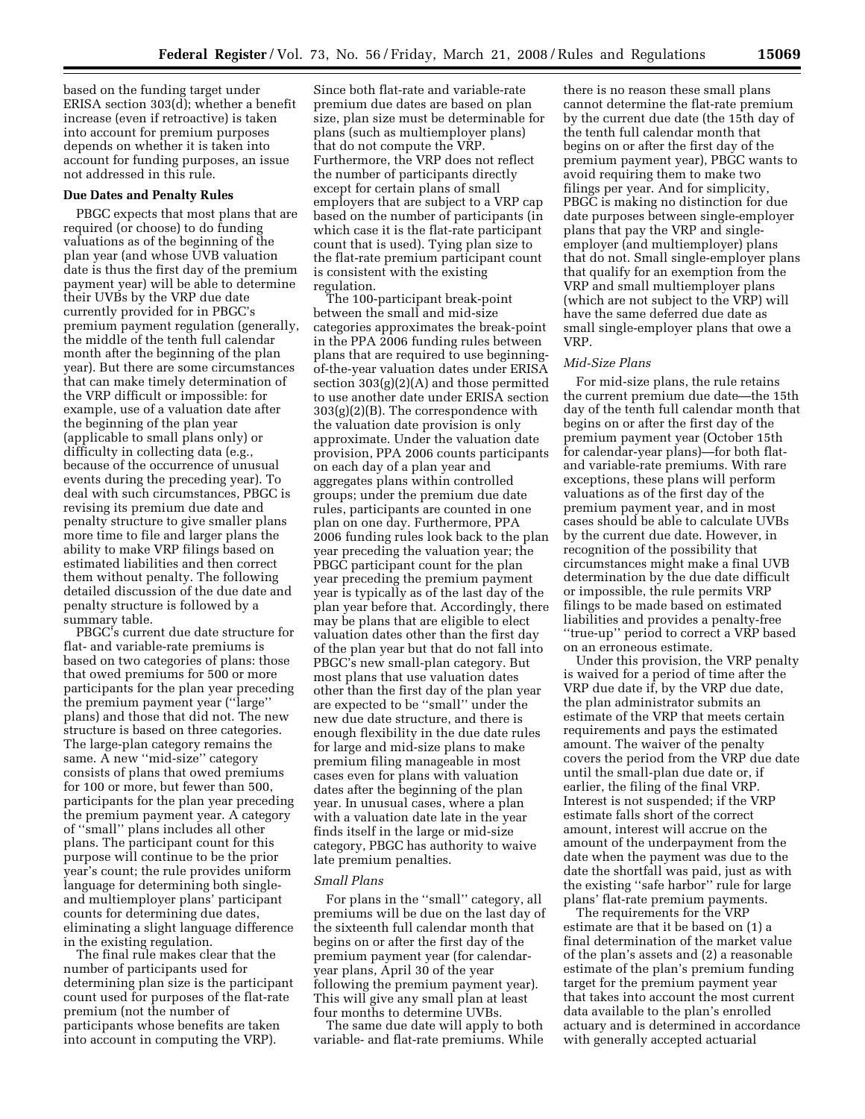based on the funding target under ERISA section 303(d); whether a benefit increase (even if retroactive) is taken into account for premium purposes depends on whether it is taken into account for funding purposes, an issue not addressed in this rule.

#### **Due Dates and Penalty Rules**

PBGC expects that most plans that are required (or choose) to do funding valuations as of the beginning of the plan year (and whose UVB valuation date is thus the first day of the premium payment year) will be able to determine their UVBs by the VRP due date currently provided for in PBGC's premium payment regulation (generally, the middle of the tenth full calendar month after the beginning of the plan year). But there are some circumstances that can make timely determination of the VRP difficult or impossible: for example, use of a valuation date after the beginning of the plan year (applicable to small plans only) or difficulty in collecting data (e.g., because of the occurrence of unusual events during the preceding year). To deal with such circumstances, PBGC is revising its premium due date and penalty structure to give smaller plans more time to file and larger plans the ability to make VRP filings based on estimated liabilities and then correct them without penalty. The following detailed discussion of the due date and penalty structure is followed by a summary table.

PBGC's current due date structure for flat- and variable-rate premiums is based on two categories of plans: those that owed premiums for 500 or more participants for the plan year preceding the premium payment year (''large'' plans) and those that did not. The new structure is based on three categories. The large-plan category remains the same. A new "mid-size" category consists of plans that owed premiums for 100 or more, but fewer than 500, participants for the plan year preceding the premium payment year. A category of ''small'' plans includes all other plans. The participant count for this purpose will continue to be the prior year's count; the rule provides uniform language for determining both singleand multiemployer plans' participant counts for determining due dates, eliminating a slight language difference in the existing regulation.

The final rule makes clear that the number of participants used for determining plan size is the participant count used for purposes of the flat-rate premium (not the number of participants whose benefits are taken into account in computing the VRP).

Since both flat-rate and variable-rate premium due dates are based on plan size, plan size must be determinable for plans (such as multiemployer plans) that do not compute the VRP. Furthermore, the VRP does not reflect the number of participants directly except for certain plans of small employers that are subject to a VRP cap based on the number of participants (in which case it is the flat-rate participant count that is used). Tying plan size to the flat-rate premium participant count is consistent with the existing regulation.

The 100-participant break-point between the small and mid-size categories approximates the break-point in the PPA 2006 funding rules between plans that are required to use beginningof-the-year valuation dates under ERISA section  $303(g)(2)(A)$  and those permitted to use another date under ERISA section 303(g)(2)(B). The correspondence with the valuation date provision is only approximate. Under the valuation date provision, PPA 2006 counts participants on each day of a plan year and aggregates plans within controlled groups; under the premium due date rules, participants are counted in one plan on one day. Furthermore, PPA 2006 funding rules look back to the plan year preceding the valuation year; the PBGC participant count for the plan year preceding the premium payment year is typically as of the last day of the plan year before that. Accordingly, there may be plans that are eligible to elect valuation dates other than the first day of the plan year but that do not fall into PBGC's new small-plan category. But most plans that use valuation dates other than the first day of the plan year are expected to be ''small'' under the new due date structure, and there is enough flexibility in the due date rules for large and mid-size plans to make premium filing manageable in most cases even for plans with valuation dates after the beginning of the plan year. In unusual cases, where a plan with a valuation date late in the year finds itself in the large or mid-size category, PBGC has authority to waive late premium penalties.

### *Small Plans*

For plans in the ''small'' category, all premiums will be due on the last day of the sixteenth full calendar month that begins on or after the first day of the premium payment year (for calendaryear plans, April 30 of the year following the premium payment year). This will give any small plan at least four months to determine UVBs.

The same due date will apply to both variable- and flat-rate premiums. While

there is no reason these small plans cannot determine the flat-rate premium by the current due date (the 15th day of the tenth full calendar month that begins on or after the first day of the premium payment year), PBGC wants to avoid requiring them to make two filings per year. And for simplicity, PBGC is making no distinction for due date purposes between single-employer plans that pay the VRP and singleemployer (and multiemployer) plans that do not. Small single-employer plans that qualify for an exemption from the VRP and small multiemployer plans (which are not subject to the VRP) will have the same deferred due date as small single-employer plans that owe a VRP.

#### *Mid-Size Plans*

For mid-size plans, the rule retains the current premium due date—the 15th day of the tenth full calendar month that begins on or after the first day of the premium payment year (October 15th for calendar-year plans)—for both flatand variable-rate premiums. With rare exceptions, these plans will perform valuations as of the first day of the premium payment year, and in most cases should be able to calculate UVBs by the current due date. However, in recognition of the possibility that circumstances might make a final UVB determination by the due date difficult or impossible, the rule permits VRP filings to be made based on estimated liabilities and provides a penalty-free ''true-up'' period to correct a VRP based on an erroneous estimate.

Under this provision, the VRP penalty is waived for a period of time after the VRP due date if, by the VRP due date, the plan administrator submits an estimate of the VRP that meets certain requirements and pays the estimated amount. The waiver of the penalty covers the period from the VRP due date until the small-plan due date or, if earlier, the filing of the final VRP. Interest is not suspended; if the VRP estimate falls short of the correct amount, interest will accrue on the amount of the underpayment from the date when the payment was due to the date the shortfall was paid, just as with the existing ''safe harbor'' rule for large plans' flat-rate premium payments.

The requirements for the VRP estimate are that it be based on (1) a final determination of the market value of the plan's assets and (2) a reasonable estimate of the plan's premium funding target for the premium payment year that takes into account the most current data available to the plan's enrolled actuary and is determined in accordance with generally accepted actuarial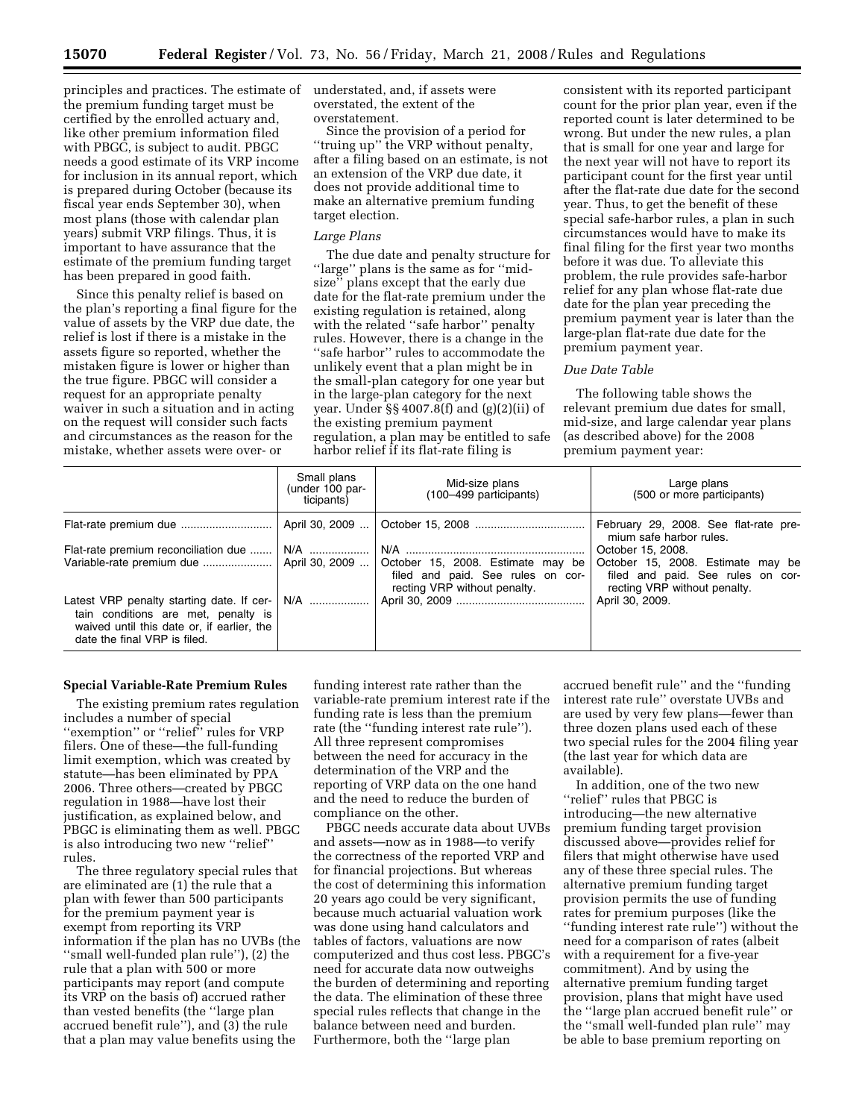principles and practices. The estimate of understated, and, if assets were the premium funding target must be certified by the enrolled actuary and, like other premium information filed with PBGC, is subject to audit. PBGC needs a good estimate of its VRP income for inclusion in its annual report, which is prepared during October (because its fiscal year ends September 30), when most plans (those with calendar plan years) submit VRP filings. Thus, it is important to have assurance that the estimate of the premium funding target has been prepared in good faith.

Since this penalty relief is based on the plan's reporting a final figure for the value of assets by the VRP due date, the relief is lost if there is a mistake in the assets figure so reported, whether the mistaken figure is lower or higher than the true figure. PBGC will consider a request for an appropriate penalty waiver in such a situation and in acting on the request will consider such facts and circumstances as the reason for the mistake, whether assets were over- or

overstated, the extent of the overstatement.

Since the provision of a period for ''truing up'' the VRP without penalty, after a filing based on an estimate, is not an extension of the VRP due date, it does not provide additional time to make an alternative premium funding target election.

#### *Large Plans*

The due date and penalty structure for ''large'' plans is the same as for ''midsize'' plans except that the early due date for the flat-rate premium under the existing regulation is retained, along with the related ''safe harbor'' penalty rules. However, there is a change in the ''safe harbor'' rules to accommodate the unlikely event that a plan might be in the small-plan category for one year but in the large-plan category for the next year. Under §§ 4007.8(f) and (g)(2)(ii) of the existing premium payment regulation, a plan may be entitled to safe harbor relief if its flat-rate filing is

consistent with its reported participant count for the prior plan year, even if the reported count is later determined to be wrong. But under the new rules, a plan that is small for one year and large for the next year will not have to report its participant count for the first year until after the flat-rate due date for the second year. Thus, to get the benefit of these special safe-harbor rules, a plan in such circumstances would have to make its final filing for the first year two months before it was due. To alleviate this problem, the rule provides safe-harbor relief for any plan whose flat-rate due date for the plan year preceding the premium payment year is later than the large-plan flat-rate due date for the premium payment year.

### *Due Date Table*

The following table shows the relevant premium due dates for small, mid-size, and large calendar year plans (as described above) for the 2008 premium payment year:

|                                                                                                                                                                            | Small plans<br>(under 100 par-<br>ticipants) | Mid-size plans<br>(100–499 participants)                                                               | Large plans<br>(500 or more participants)                                                              |
|----------------------------------------------------------------------------------------------------------------------------------------------------------------------------|----------------------------------------------|--------------------------------------------------------------------------------------------------------|--------------------------------------------------------------------------------------------------------|
|                                                                                                                                                                            | April 30, 2009                               |                                                                                                        | February 29, 2008. See flat-rate pre-<br>mium safe harbor rules.                                       |
| Flat-rate premium reconciliation due    N/A                                                                                                                                |                                              |                                                                                                        | October 15, 2008.                                                                                      |
| Variable-rate premium due    April 30, 2009                                                                                                                                |                                              | October 15, 2008. Estimate may be<br>filed and paid. See rules on cor-<br>recting VRP without penalty. | October 15, 2008. Estimate may be<br>filed and paid. See rules on cor-<br>recting VRP without penalty. |
| Latest VRP penalty starting date. If cer- $\vert$ N/A<br>tain conditions are met, penalty is<br>waived until this date or, if earlier, the<br>date the final VRP is filed. |                                              |                                                                                                        | April 30, 2009.                                                                                        |

#### **Special Variable-Rate Premium Rules**

The existing premium rates regulation includes a number of special "exemption" or "relief" rules for VRP filers. One of these—the full-funding limit exemption, which was created by statute—has been eliminated by PPA 2006. Three others—created by PBGC regulation in 1988—have lost their justification, as explained below, and PBGC is eliminating them as well. PBGC is also introducing two new ''relief'' rules.

The three regulatory special rules that are eliminated are (1) the rule that a plan with fewer than 500 participants for the premium payment year is exempt from reporting its VRP information if the plan has no UVBs (the ''small well-funded plan rule''), (2) the rule that a plan with 500 or more participants may report (and compute its VRP on the basis of) accrued rather than vested benefits (the ''large plan accrued benefit rule''), and (3) the rule that a plan may value benefits using the

funding interest rate rather than the variable-rate premium interest rate if the funding rate is less than the premium rate (the ''funding interest rate rule''). All three represent compromises between the need for accuracy in the determination of the VRP and the reporting of VRP data on the one hand and the need to reduce the burden of compliance on the other.

PBGC needs accurate data about UVBs and assets—now as in 1988—to verify the correctness of the reported VRP and for financial projections. But whereas the cost of determining this information 20 years ago could be very significant, because much actuarial valuation work was done using hand calculators and tables of factors, valuations are now computerized and thus cost less. PBGC's need for accurate data now outweighs the burden of determining and reporting the data. The elimination of these three special rules reflects that change in the balance between need and burden. Furthermore, both the ''large plan

accrued benefit rule'' and the ''funding interest rate rule'' overstate UVBs and are used by very few plans—fewer than three dozen plans used each of these two special rules for the 2004 filing year (the last year for which data are available).

In addition, one of the two new ''relief'' rules that PBGC is introducing—the new alternative premium funding target provision discussed above—provides relief for filers that might otherwise have used any of these three special rules. The alternative premium funding target provision permits the use of funding rates for premium purposes (like the ''funding interest rate rule'') without the need for a comparison of rates (albeit with a requirement for a five-year commitment). And by using the alternative premium funding target provision, plans that might have used the ''large plan accrued benefit rule'' or the ''small well-funded plan rule'' may be able to base premium reporting on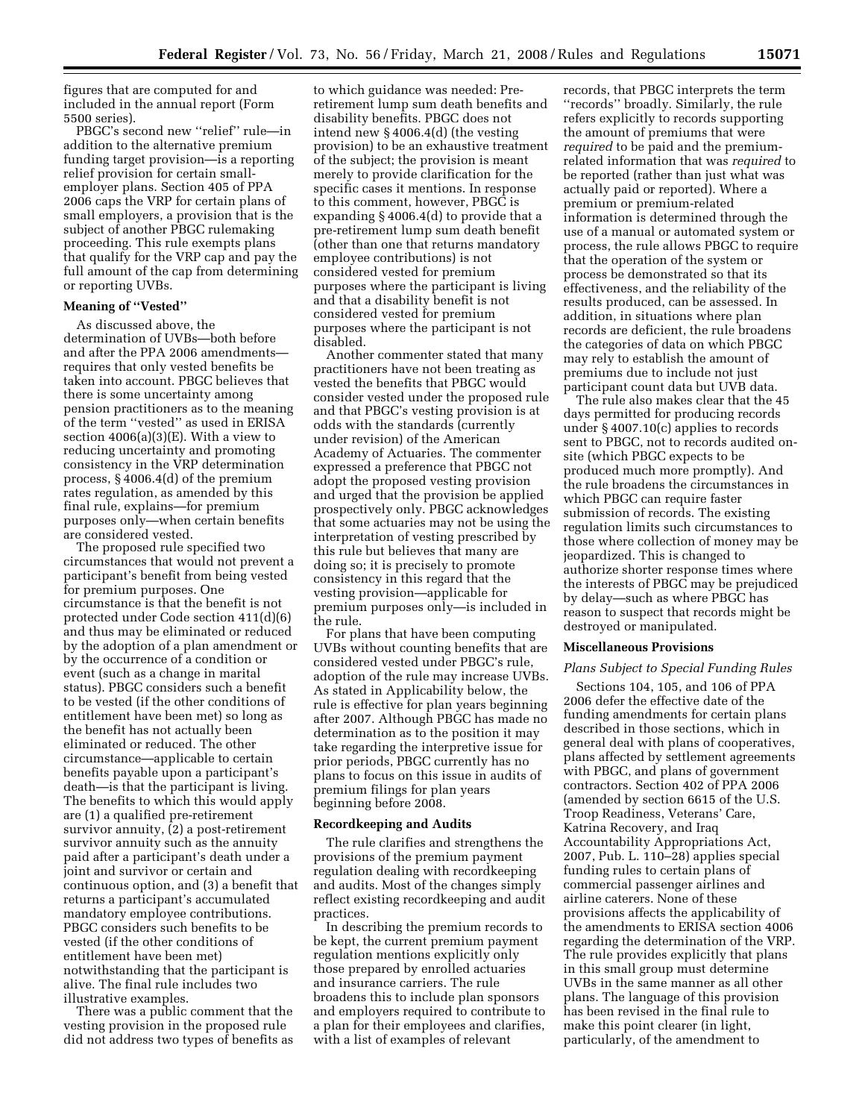figures that are computed for and included in the annual report (Form 5500 series).

PBGC's second new ''relief'' rule—in addition to the alternative premium funding target provision—is a reporting relief provision for certain smallemployer plans. Section 405 of PPA 2006 caps the VRP for certain plans of small employers, a provision that is the subject of another PBGC rulemaking proceeding. This rule exempts plans that qualify for the VRP cap and pay the full amount of the cap from determining or reporting UVBs.

### **Meaning of ''Vested''**

As discussed above, the determination of UVBs—both before and after the PPA 2006 amendments requires that only vested benefits be taken into account. PBGC believes that there is some uncertainty among pension practitioners as to the meaning of the term ''vested'' as used in ERISA section 4006(a)(3)(E). With a view to reducing uncertainty and promoting consistency in the VRP determination process, § 4006.4(d) of the premium rates regulation, as amended by this final rule, explains—for premium purposes only—when certain benefits are considered vested.

The proposed rule specified two circumstances that would not prevent a participant's benefit from being vested for premium purposes. One circumstance is that the benefit is not protected under Code section 411(d)(6) and thus may be eliminated or reduced by the adoption of a plan amendment or by the occurrence of a condition or event (such as a change in marital status). PBGC considers such a benefit to be vested (if the other conditions of entitlement have been met) so long as the benefit has not actually been eliminated or reduced. The other circumstance—applicable to certain benefits payable upon a participant's death—is that the participant is living. The benefits to which this would apply are (1) a qualified pre-retirement survivor annuity, (2) a post-retirement survivor annuity such as the annuity paid after a participant's death under a joint and survivor or certain and continuous option, and (3) a benefit that returns a participant's accumulated mandatory employee contributions. PBGC considers such benefits to be vested (if the other conditions of entitlement have been met) notwithstanding that the participant is alive. The final rule includes two illustrative examples.

There was a public comment that the vesting provision in the proposed rule did not address two types of benefits as

to which guidance was needed: Preretirement lump sum death benefits and disability benefits. PBGC does not intend new § 4006.4(d) (the vesting provision) to be an exhaustive treatment of the subject; the provision is meant merely to provide clarification for the specific cases it mentions. In response to this comment, however, PBGC is expanding § 4006.4(d) to provide that a pre-retirement lump sum death benefit (other than one that returns mandatory employee contributions) is not considered vested for premium purposes where the participant is living and that a disability benefit is not considered vested for premium purposes where the participant is not disabled.

Another commenter stated that many practitioners have not been treating as vested the benefits that PBGC would consider vested under the proposed rule and that PBGC's vesting provision is at odds with the standards (currently under revision) of the American Academy of Actuaries. The commenter expressed a preference that PBGC not adopt the proposed vesting provision and urged that the provision be applied prospectively only. PBGC acknowledges that some actuaries may not be using the interpretation of vesting prescribed by this rule but believes that many are doing so; it is precisely to promote consistency in this regard that the vesting provision—applicable for premium purposes only—is included in the rule.

For plans that have been computing UVBs without counting benefits that are considered vested under PBGC's rule, adoption of the rule may increase UVBs. As stated in Applicability below, the rule is effective for plan years beginning after 2007. Although PBGC has made no determination as to the position it may take regarding the interpretive issue for prior periods, PBGC currently has no plans to focus on this issue in audits of premium filings for plan years beginning before 2008.

### **Recordkeeping and Audits**

The rule clarifies and strengthens the provisions of the premium payment regulation dealing with recordkeeping and audits. Most of the changes simply reflect existing recordkeeping and audit practices.

In describing the premium records to be kept, the current premium payment regulation mentions explicitly only those prepared by enrolled actuaries and insurance carriers. The rule broadens this to include plan sponsors and employers required to contribute to a plan for their employees and clarifies, with a list of examples of relevant

records, that PBGC interprets the term ''records'' broadly. Similarly, the rule refers explicitly to records supporting the amount of premiums that were *required* to be paid and the premiumrelated information that was *required* to be reported (rather than just what was actually paid or reported). Where a premium or premium-related information is determined through the use of a manual or automated system or process, the rule allows PBGC to require that the operation of the system or process be demonstrated so that its effectiveness, and the reliability of the results produced, can be assessed. In addition, in situations where plan records are deficient, the rule broadens the categories of data on which PBGC may rely to establish the amount of premiums due to include not just participant count data but UVB data.

The rule also makes clear that the 45 days permitted for producing records under § 4007.10(c) applies to records sent to PBGC, not to records audited onsite (which PBGC expects to be produced much more promptly). And the rule broadens the circumstances in which PBGC can require faster submission of records. The existing regulation limits such circumstances to those where collection of money may be jeopardized. This is changed to authorize shorter response times where the interests of PBGC may be prejudiced by delay—such as where PBGC has reason to suspect that records might be destroyed or manipulated.

#### **Miscellaneous Provisions**

### *Plans Subject to Special Funding Rules*

Sections 104, 105, and 106 of PPA 2006 defer the effective date of the funding amendments for certain plans described in those sections, which in general deal with plans of cooperatives, plans affected by settlement agreements with PBGC, and plans of government contractors. Section 402 of PPA 2006 (amended by section 6615 of the U.S. Troop Readiness, Veterans' Care, Katrina Recovery, and Iraq Accountability Appropriations Act, 2007, Pub. L. 110–28) applies special funding rules to certain plans of commercial passenger airlines and airline caterers. None of these provisions affects the applicability of the amendments to ERISA section 4006 regarding the determination of the VRP. The rule provides explicitly that plans in this small group must determine UVBs in the same manner as all other plans. The language of this provision has been revised in the final rule to make this point clearer (in light, particularly, of the amendment to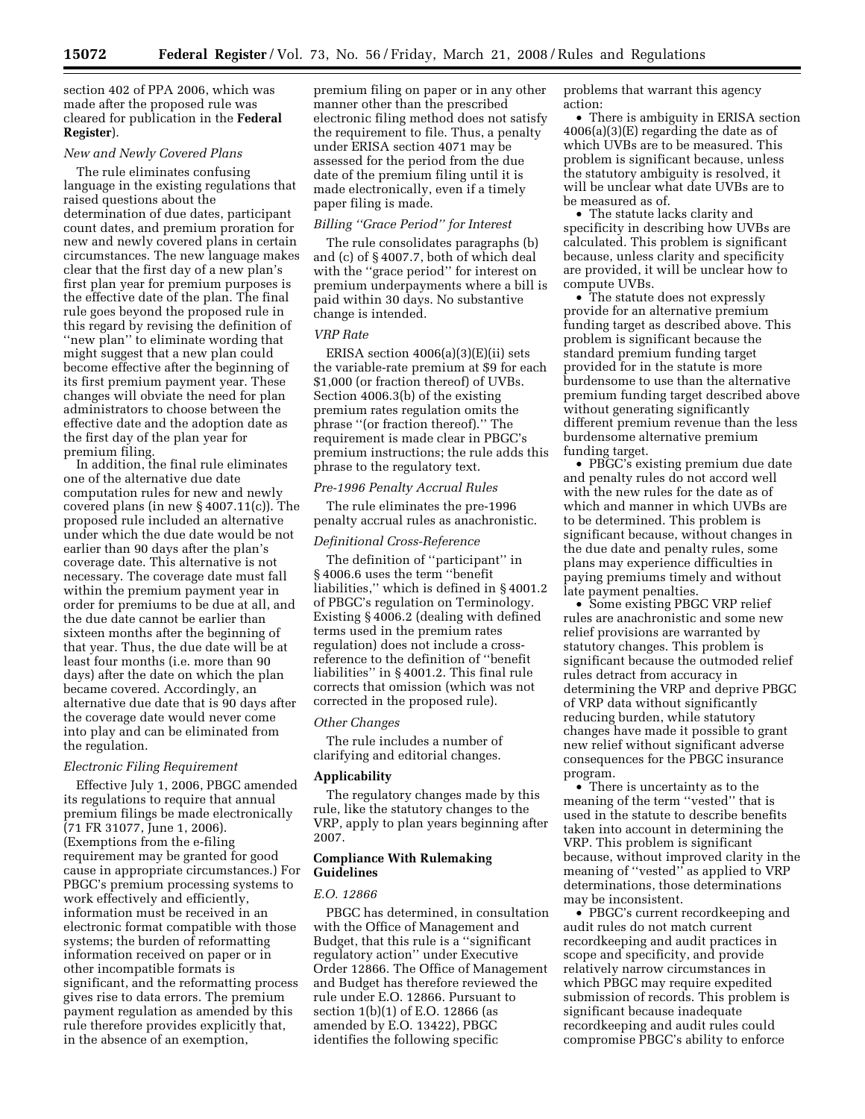section 402 of PPA 2006, which was made after the proposed rule was cleared for publication in the **Federal Register**).

# *New and Newly Covered Plans*

The rule eliminates confusing language in the existing regulations that raised questions about the determination of due dates, participant count dates, and premium proration for new and newly covered plans in certain circumstances. The new language makes clear that the first day of a new plan's first plan year for premium purposes is the effective date of the plan. The final rule goes beyond the proposed rule in this regard by revising the definition of ''new plan'' to eliminate wording that might suggest that a new plan could become effective after the beginning of its first premium payment year. These changes will obviate the need for plan administrators to choose between the effective date and the adoption date as the first day of the plan year for premium filing.

In addition, the final rule eliminates one of the alternative due date computation rules for new and newly covered plans (in new § 4007.11(c)). The proposed rule included an alternative under which the due date would be not earlier than 90 days after the plan's coverage date. This alternative is not necessary. The coverage date must fall within the premium payment year in order for premiums to be due at all, and the due date cannot be earlier than sixteen months after the beginning of that year. Thus, the due date will be at least four months (i.e. more than 90 days) after the date on which the plan became covered. Accordingly, an alternative due date that is 90 days after the coverage date would never come into play and can be eliminated from the regulation.

# *Electronic Filing Requirement*

Effective July 1, 2006, PBGC amended its regulations to require that annual premium filings be made electronically (71 FR 31077, June 1, 2006). (Exemptions from the e-filing requirement may be granted for good cause in appropriate circumstances.) For PBGC's premium processing systems to work effectively and efficiently, information must be received in an electronic format compatible with those systems; the burden of reformatting information received on paper or in other incompatible formats is significant, and the reformatting process gives rise to data errors. The premium payment regulation as amended by this rule therefore provides explicitly that, in the absence of an exemption,

premium filing on paper or in any other manner other than the prescribed electronic filing method does not satisfy the requirement to file. Thus, a penalty under ERISA section 4071 may be assessed for the period from the due date of the premium filing until it is made electronically, even if a timely paper filing is made.

# *Billing ''Grace Period'' for Interest*

The rule consolidates paragraphs (b) and (c) of § 4007.7, both of which deal with the ''grace period'' for interest on premium underpayments where a bill is paid within 30 days. No substantive change is intended.

#### *VRP Rate*

ERISA section 4006(a)(3)(E)(ii) sets the variable-rate premium at \$9 for each \$1,000 (or fraction thereof) of UVBs. Section 4006.3(b) of the existing premium rates regulation omits the phrase ''(or fraction thereof).'' The requirement is made clear in PBGC's premium instructions; the rule adds this phrase to the regulatory text.

### *Pre-1996 Penalty Accrual Rules*

The rule eliminates the pre-1996 penalty accrual rules as anachronistic.

### *Definitional Cross-Reference*

The definition of ''participant'' in § 4006.6 uses the term ''benefit liabilities,'' which is defined in § 4001.2 of PBGC's regulation on Terminology. Existing § 4006.2 (dealing with defined terms used in the premium rates regulation) does not include a crossreference to the definition of ''benefit liabilities'' in § 4001.2. This final rule corrects that omission (which was not corrected in the proposed rule).

### *Other Changes*

The rule includes a number of clarifying and editorial changes.

### **Applicability**

The regulatory changes made by this rule, like the statutory changes to the VRP, apply to plan years beginning after 2007.

## **Compliance With Rulemaking Guidelines**

## *E.O. 12866*

PBGC has determined, in consultation with the Office of Management and Budget, that this rule is a ''significant regulatory action'' under Executive Order 12866. The Office of Management and Budget has therefore reviewed the rule under E.O. 12866. Pursuant to section 1(b)(1) of E.O. 12866 (as amended by E.O. 13422), PBGC identifies the following specific

problems that warrant this agency action:

• There is ambiguity in ERISA section 4006(a)(3)(E) regarding the date as of which UVBs are to be measured. This problem is significant because, unless the statutory ambiguity is resolved, it will be unclear what date UVBs are to be measured as of.

• The statute lacks clarity and specificity in describing how UVBs are calculated. This problem is significant because, unless clarity and specificity are provided, it will be unclear how to compute UVBs.

• The statute does not expressly provide for an alternative premium funding target as described above. This problem is significant because the standard premium funding target provided for in the statute is more burdensome to use than the alternative premium funding target described above without generating significantly different premium revenue than the less burdensome alternative premium funding target.

• PBGC's existing premium due date and penalty rules do not accord well with the new rules for the date as of which and manner in which UVBs are to be determined. This problem is significant because, without changes in the due date and penalty rules, some plans may experience difficulties in paying premiums timely and without late payment penalties.

• Some existing PBGC VRP relief rules are anachronistic and some new relief provisions are warranted by statutory changes. This problem is significant because the outmoded relief rules detract from accuracy in determining the VRP and deprive PBGC of VRP data without significantly reducing burden, while statutory changes have made it possible to grant new relief without significant adverse consequences for the PBGC insurance program.

• There is uncertainty as to the meaning of the term ''vested'' that is used in the statute to describe benefits taken into account in determining the VRP. This problem is significant because, without improved clarity in the meaning of ''vested'' as applied to VRP determinations, those determinations may be inconsistent.

• PBGC's current recordkeeping and audit rules do not match current recordkeeping and audit practices in scope and specificity, and provide relatively narrow circumstances in which PBGC may require expedited submission of records. This problem is significant because inadequate recordkeeping and audit rules could compromise PBGC's ability to enforce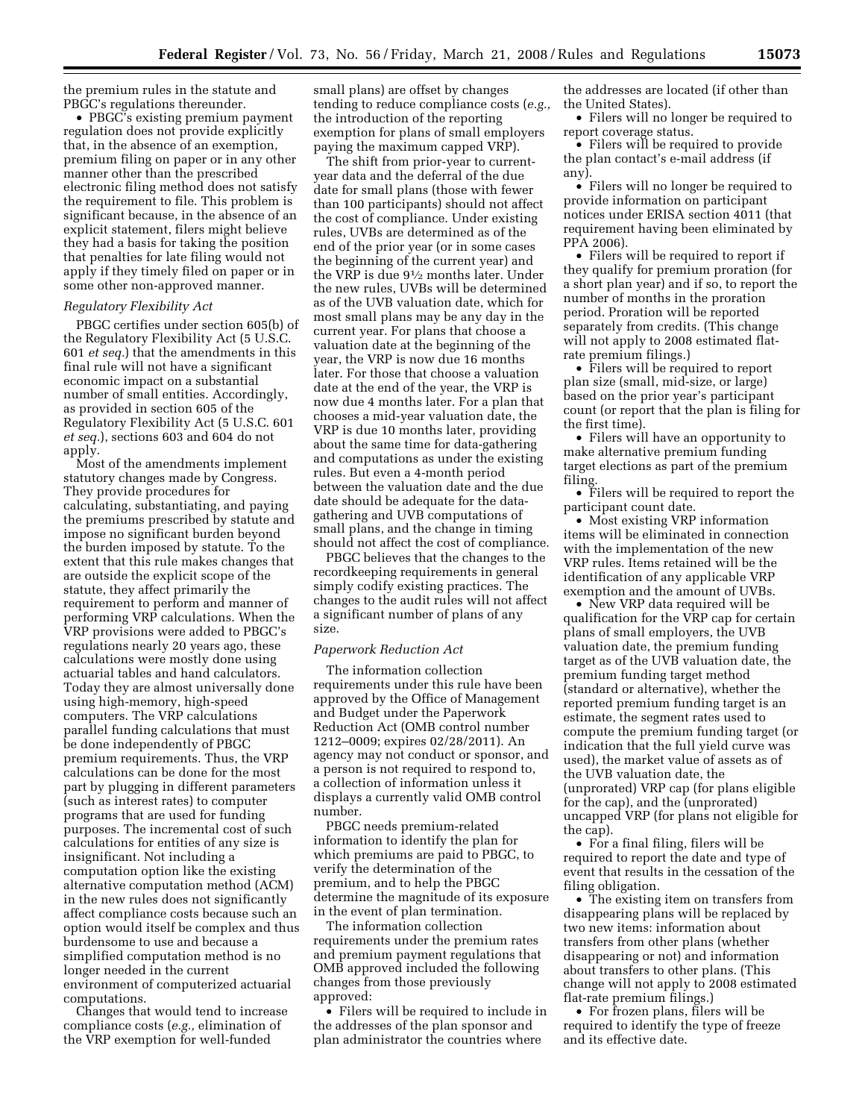the premium rules in the statute and PBGC's regulations thereunder.

• PBGC's existing premium payment regulation does not provide explicitly that, in the absence of an exemption, premium filing on paper or in any other manner other than the prescribed electronic filing method does not satisfy the requirement to file. This problem is significant because, in the absence of an explicit statement, filers might believe they had a basis for taking the position that penalties for late filing would not apply if they timely filed on paper or in some other non-approved manner.

# *Regulatory Flexibility Act*

PBGC certifies under section 605(b) of the Regulatory Flexibility Act (5 U.S.C. 601 *et seq.*) that the amendments in this final rule will not have a significant economic impact on a substantial number of small entities. Accordingly, as provided in section 605 of the Regulatory Flexibility Act (5 U.S.C. 601 *et seq.*), sections 603 and 604 do not apply.

Most of the amendments implement statutory changes made by Congress. They provide procedures for calculating, substantiating, and paying the premiums prescribed by statute and impose no significant burden beyond the burden imposed by statute. To the extent that this rule makes changes that are outside the explicit scope of the statute, they affect primarily the requirement to perform and manner of performing VRP calculations. When the VRP provisions were added to PBGC's regulations nearly 20 years ago, these calculations were mostly done using actuarial tables and hand calculators. Today they are almost universally done using high-memory, high-speed computers. The VRP calculations parallel funding calculations that must be done independently of PBGC premium requirements. Thus, the VRP calculations can be done for the most part by plugging in different parameters (such as interest rates) to computer programs that are used for funding purposes. The incremental cost of such calculations for entities of any size is insignificant. Not including a computation option like the existing alternative computation method (ACM) in the new rules does not significantly affect compliance costs because such an option would itself be complex and thus burdensome to use and because a simplified computation method is no longer needed in the current environment of computerized actuarial computations.

Changes that would tend to increase compliance costs (*e.g.,* elimination of the VRP exemption for well-funded

small plans) are offset by changes tending to reduce compliance costs (*e.g.,*  the introduction of the reporting exemption for plans of small employers paying the maximum capped VRP).

The shift from prior-year to currentyear data and the deferral of the due date for small plans (those with fewer than 100 participants) should not affect the cost of compliance. Under existing rules, UVBs are determined as of the end of the prior year (or in some cases the beginning of the current year) and the VRP is due 91⁄2 months later. Under the new rules, UVBs will be determined as of the UVB valuation date, which for most small plans may be any day in the current year. For plans that choose a valuation date at the beginning of the year, the VRP is now due 16 months later. For those that choose a valuation date at the end of the year, the VRP is now due 4 months later. For a plan that chooses a mid-year valuation date, the VRP is due 10 months later, providing about the same time for data-gathering and computations as under the existing rules. But even a 4-month period between the valuation date and the due date should be adequate for the datagathering and UVB computations of small plans, and the change in timing should not affect the cost of compliance.

PBGC believes that the changes to the recordkeeping requirements in general simply codify existing practices. The changes to the audit rules will not affect a significant number of plans of any size.

## *Paperwork Reduction Act*

The information collection requirements under this rule have been approved by the Office of Management and Budget under the Paperwork Reduction Act (OMB control number 1212–0009; expires 02/28/2011). An agency may not conduct or sponsor, and a person is not required to respond to, a collection of information unless it displays a currently valid OMB control number.

PBGC needs premium-related information to identify the plan for which premiums are paid to PBGC, to verify the determination of the premium, and to help the PBGC determine the magnitude of its exposure in the event of plan termination.

The information collection requirements under the premium rates and premium payment regulations that OMB approved included the following changes from those previously approved:

• Filers will be required to include in the addresses of the plan sponsor and plan administrator the countries where

the addresses are located (if other than the United States).

• Filers will no longer be required to report coverage status.

• Filers will be required to provide the plan contact's e-mail address (if any).

• Filers will no longer be required to provide information on participant notices under ERISA section 4011 (that requirement having been eliminated by PPA 2006).

• Filers will be required to report if they qualify for premium proration (for a short plan year) and if so, to report the number of months in the proration period. Proration will be reported separately from credits. (This change will not apply to 2008 estimated flatrate premium filings.)

• Filers will be required to report plan size (small, mid-size, or large) based on the prior year's participant count (or report that the plan is filing for the first time).

• Filers will have an opportunity to make alternative premium funding target elections as part of the premium filing.

• Filers will be required to report the participant count date.

• Most existing VRP information items will be eliminated in connection with the implementation of the new VRP rules. Items retained will be the identification of any applicable VRP exemption and the amount of UVBs.

• New VRP data required will be qualification for the VRP cap for certain plans of small employers, the UVB valuation date, the premium funding target as of the UVB valuation date, the premium funding target method (standard or alternative), whether the reported premium funding target is an estimate, the segment rates used to compute the premium funding target (or indication that the full yield curve was used), the market value of assets as of the UVB valuation date, the (unprorated) VRP cap (for plans eligible for the cap), and the (unprorated) uncapped VRP (for plans not eligible for the cap).

• For a final filing, filers will be required to report the date and type of event that results in the cessation of the filing obligation.

• The existing item on transfers from disappearing plans will be replaced by two new items: information about transfers from other plans (whether disappearing or not) and information about transfers to other plans. (This change will not apply to 2008 estimated flat-rate premium filings.)

• For frozen plans, filers will be required to identify the type of freeze and its effective date.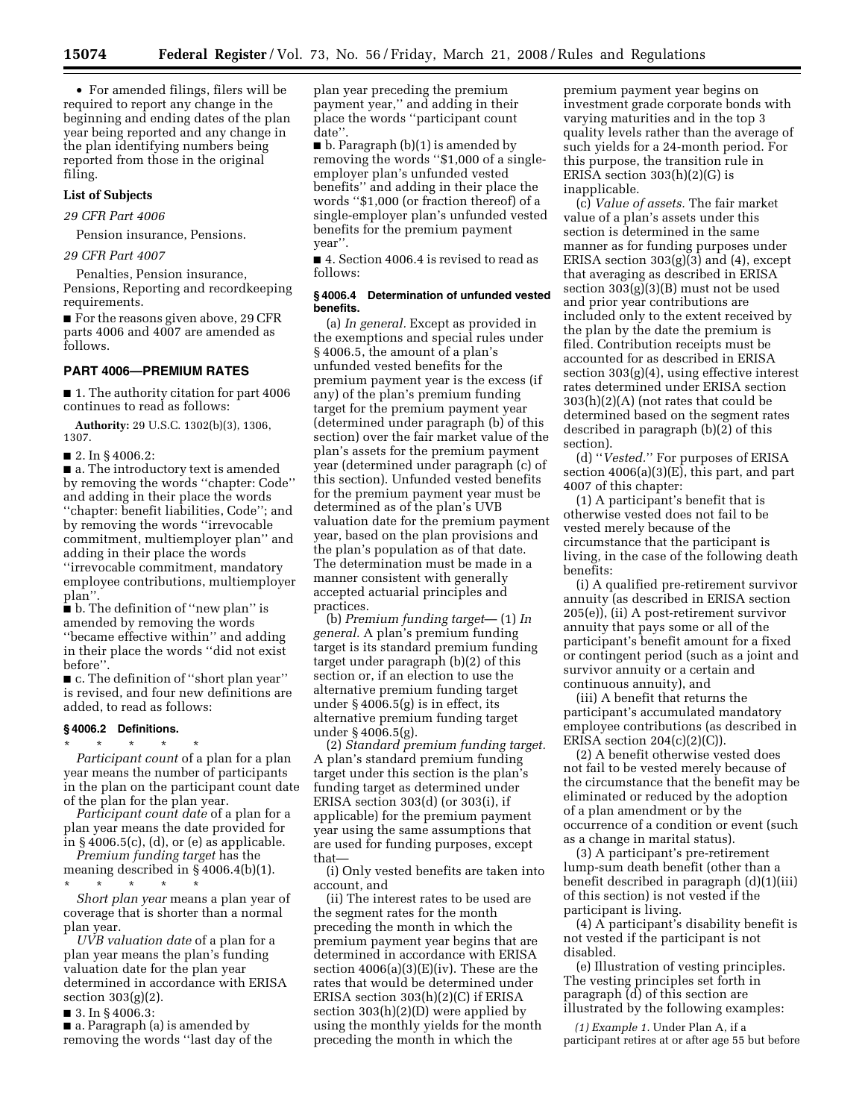• For amended filings, filers will be required to report any change in the beginning and ending dates of the plan year being reported and any change in the plan identifying numbers being reported from those in the original filing.

### **List of Subjects**

*29 CFR Part 4006* 

Pension insurance, Pensions.

### *29 CFR Part 4007*

Penalties, Pension insurance, Pensions, Reporting and recordkeeping requirements.

■ For the reasons given above, 29 CFR parts 4006 and 4007 are amended as follows.

## **PART 4006—PREMIUM RATES**

■ 1. The authority citation for part 4006 continues to read as follows:

**Authority:** 29 U.S.C. 1302(b)(3), 1306, 1307.

■ 2. In § 4006.2:

■ a. The introductory text is amended by removing the words ''chapter: Code'' and adding in their place the words ''chapter: benefit liabilities, Code''; and by removing the words ''irrevocable commitment, multiemployer plan'' and adding in their place the words ''irrevocable commitment, mandatory employee contributions, multiemployer plan''.

■ b. The definition of "new plan" is amended by removing the words ''became effective within'' and adding in their place the words ''did not exist before''.

■ c. The definition of "short plan year" is revised, and four new definitions are added, to read as follows:

# **§ 4006.2 Definitions.**

\* \* \* \* \* *Participant count* of a plan for a plan year means the number of participants in the plan on the participant count date

of the plan for the plan year. *Participant count date* of a plan for a

plan year means the date provided for in  $\S 4006.5(c)$ , (d), or (e) as applicable.

*Premium funding target* has the meaning described in § 4006.4(b)(1).

\* \* \* \* \* *Short plan year* means a plan year of coverage that is shorter than a normal plan year.

*UVB valuation date* of a plan for a plan year means the plan's funding valuation date for the plan year determined in accordance with ERISA section 303(g)(2).

■ 3. In § 4006.3:

■ a. Paragraph (a) is amended by removing the words ''last day of the

plan year preceding the premium payment year,'' and adding in their place the words ''participant count date''.

 $\blacksquare$  b. Paragraph (b)(1) is amended by removing the words ''\$1,000 of a singleemployer plan's unfunded vested benefits'' and adding in their place the words ''\$1,000 (or fraction thereof) of a single-employer plan's unfunded vested benefits for the premium payment year''.

■ 4. Section 4006.4 is revised to read as follows:

# **§ 4006.4 Determination of unfunded vested benefits.**

(a) *In general.* Except as provided in the exemptions and special rules under § 4006.5, the amount of a plan's unfunded vested benefits for the premium payment year is the excess (if any) of the plan's premium funding target for the premium payment year (determined under paragraph (b) of this section) over the fair market value of the plan's assets for the premium payment year (determined under paragraph (c) of this section). Unfunded vested benefits for the premium payment year must be determined as of the plan's UVB valuation date for the premium payment year, based on the plan provisions and the plan's population as of that date. The determination must be made in a manner consistent with generally accepted actuarial principles and practices.

(b) *Premium funding target*— (1) *In general.* A plan's premium funding target is its standard premium funding target under paragraph (b)(2) of this section or, if an election to use the alternative premium funding target under § 4006.5(g) is in effect, its alternative premium funding target under § 4006.5(g).

(2) *Standard premium funding target.*  A plan's standard premium funding target under this section is the plan's funding target as determined under ERISA section 303(d) (or 303(i), if applicable) for the premium payment year using the same assumptions that are used for funding purposes, except that—

(i) Only vested benefits are taken into account, and

(ii) The interest rates to be used are the segment rates for the month preceding the month in which the premium payment year begins that are determined in accordance with ERISA section 4006(a)(3)(E)(iv). These are the rates that would be determined under ERISA section 303(h)(2)(C) if ERISA section 303(h)(2)(D) were applied by using the monthly yields for the month preceding the month in which the

premium payment year begins on investment grade corporate bonds with varying maturities and in the top 3 quality levels rather than the average of such yields for a 24-month period. For this purpose, the transition rule in ERISA section  $303(h)(2)(G)$  is inapplicable.

(c) *Value of assets.* The fair market value of a plan's assets under this section is determined in the same manner as for funding purposes under ERISA section 303(g)(3) and (4), except that averaging as described in ERISA section 303(g)(3)(B) must not be used and prior year contributions are included only to the extent received by the plan by the date the premium is filed. Contribution receipts must be accounted for as described in ERISA section  $303(g)(4)$ , using effective interest rates determined under ERISA section 303(h)(2)(A) (not rates that could be determined based on the segment rates described in paragraph (b)(2) of this section).

(d) ''*Vested.*'' For purposes of ERISA section 4006(a)(3)(E), this part, and part 4007 of this chapter:

(1) A participant's benefit that is otherwise vested does not fail to be vested merely because of the circumstance that the participant is living, in the case of the following death benefits:

(i) A qualified pre-retirement survivor annuity (as described in ERISA section 205(e)), (ii) A post-retirement survivor annuity that pays some or all of the participant's benefit amount for a fixed or contingent period (such as a joint and survivor annuity or a certain and continuous annuity), and

(iii) A benefit that returns the participant's accumulated mandatory employee contributions (as described in ERISA section  $204(c)(2)(C)$ .

(2) A benefit otherwise vested does not fail to be vested merely because of the circumstance that the benefit may be eliminated or reduced by the adoption of a plan amendment or by the occurrence of a condition or event (such as a change in marital status).

(3) A participant's pre-retirement lump-sum death benefit (other than a benefit described in paragraph (d)(1)(iii) of this section) is not vested if the participant is living.

(4) A participant's disability benefit is not vested if the participant is not disabled.

(e) Illustration of vesting principles. The vesting principles set forth in paragraph (d) of this section are illustrated by the following examples:

*(1) Example 1.* Under Plan A, if a participant retires at or after age 55 but before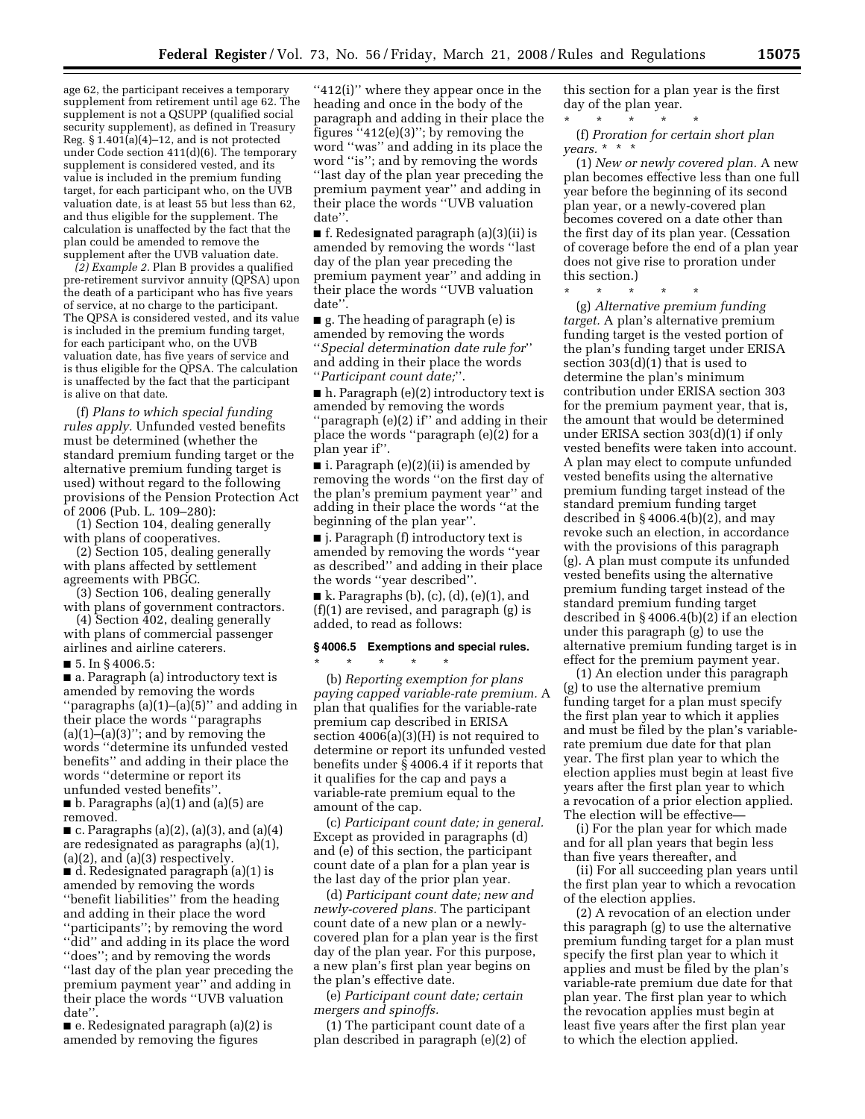age 62, the participant receives a temporary supplement from retirement until age 62. The supplement is not a QSUPP (qualified social security supplement), as defined in Treasury Reg. § 1.401(a)(4)–12, and is not protected under Code section 411(d)(6). The temporary supplement is considered vested, and its value is included in the premium funding target, for each participant who, on the UVB valuation date, is at least 55 but less than 62, and thus eligible for the supplement. The calculation is unaffected by the fact that the plan could be amended to remove the supplement after the UVB valuation date.

*(2) Example 2.* Plan B provides a qualified pre-retirement survivor annuity (QPSA) upon the death of a participant who has five years of service, at no charge to the participant. The QPSA is considered vested, and its value is included in the premium funding target, for each participant who, on the UVB valuation date, has five years of service and is thus eligible for the QPSA. The calculation is unaffected by the fact that the participant is alive on that date.

(f) *Plans to which special funding rules apply.* Unfunded vested benefits must be determined (whether the standard premium funding target or the alternative premium funding target is used) without regard to the following provisions of the Pension Protection Act of 2006 (Pub. L. 109–280):

(1) Section 104, dealing generally with plans of cooperatives.

(2) Section 105, dealing generally with plans affected by settlement agreements with PBGC.

(3) Section 106, dealing generally with plans of government contractors.

 $(4)$  Section  $\overline{4}02$ , dealing generally with plans of commercial passenger airlines and airline caterers.

■ 5. In § 4006.5:

■ a. Paragraph (a) introductory text is amended by removing the words "paragraphs  $(a)(1)$ – $(a)(5)$ " and adding in their place the words ''paragraphs  $(a)(1)$ – $(a)(3)$ "; and by removing the words ''determine its unfunded vested benefits'' and adding in their place the words ''determine or report its unfunded vested benefits''.

■ b. Paragraphs (a)(1) and (a)(5) are removed.

 $\blacksquare$  c. Paragraphs (a)(2), (a)(3), and (a)(4) are redesignated as paragraphs (a)(1),  $(a)(2)$ , and  $(a)(3)$  respectively.

■ d. Redesignated paragraph (a)(1) is amended by removing the words ''benefit liabilities'' from the heading and adding in their place the word ''participants''; by removing the word ''did'' and adding in its place the word ''does''; and by removing the words ''last day of the plan year preceding the premium payment year'' and adding in their place the words ''UVB valuation date''.

■ e. Redesignated paragraph (a)(2) is amended by removing the figures

"412(i)" where they appear once in the heading and once in the body of the paragraph and adding in their place the figures ''412(e)(3)''; by removing the word ''was'' and adding in its place the word ''is''; and by removing the words ''last day of the plan year preceding the premium payment year'' and adding in their place the words ''UVB valuation date''.

■ f. Redesignated paragraph (a)(3)(ii) is amended by removing the words ''last day of the plan year preceding the premium payment year'' and adding in their place the words ''UVB valuation date''.

■ g. The heading of paragraph (e) is amended by removing the words ''*Special determination date rule for*'' and adding in their place the words ''*Participant count date;*''.

■ h. Paragraph (e)(2) introductory text is amended by removing the words

''paragraph (e)(2) if'' and adding in their place the words ''paragraph (e)(2) for a plan year if''.

■ i. Paragraph (e)(2)(ii) is amended by removing the words ''on the first day of the plan's premium payment year'' and adding in their place the words ''at the beginning of the plan year''.

■ j. Paragraph (f) introductory text is amended by removing the words ''year as described'' and adding in their place the words ''year described''.

 $\blacksquare$  k. Paragraphs (b), (c), (d), (e)(1), and (f)(1) are revised, and paragraph (g) is added, to read as follows:

#### **§ 4006.5 Exemptions and special rules.**

\* \* \* \* \*

(b) *Reporting exemption for plans paying capped variable-rate premium.* A plan that qualifies for the variable-rate premium cap described in ERISA section 4006(a)(3)(H) is not required to determine or report its unfunded vested benefits under § 4006.4 if it reports that it qualifies for the cap and pays a variable-rate premium equal to the amount of the cap.

(c) *Participant count date; in general.*  Except as provided in paragraphs (d) and (e) of this section, the participant count date of a plan for a plan year is the last day of the prior plan year.

(d) *Participant count date; new and newly-covered plans.* The participant count date of a new plan or a newlycovered plan for a plan year is the first day of the plan year. For this purpose, a new plan's first plan year begins on the plan's effective date.

(e) *Participant count date; certain mergers and spinoffs.* 

(1) The participant count date of a plan described in paragraph (e)(2) of this section for a plan year is the first day of the plan year.

\* \* \* \* \* (f) *Proration for certain short plan years.* \* \* \*

(1) *New or newly covered plan.* A new plan becomes effective less than one full year before the beginning of its second plan year, or a newly-covered plan becomes covered on a date other than the first day of its plan year. (Cessation of coverage before the end of a plan year does not give rise to proration under this section.)

\* \* \* \* \* (g) *Alternative premium funding target.* A plan's alternative premium funding target is the vested portion of the plan's funding target under ERISA section 303(d)(1) that is used to determine the plan's minimum contribution under ERISA section 303 for the premium payment year, that is, the amount that would be determined under ERISA section 303(d)(1) if only vested benefits were taken into account. A plan may elect to compute unfunded vested benefits using the alternative premium funding target instead of the standard premium funding target described in § 4006.4(b)(2), and may revoke such an election, in accordance with the provisions of this paragraph (g). A plan must compute its unfunded vested benefits using the alternative premium funding target instead of the standard premium funding target described in § 4006.4(b)(2) if an election under this paragraph (g) to use the alternative premium funding target is in effect for the premium payment year.

(1) An election under this paragraph (g) to use the alternative premium funding target for a plan must specify the first plan year to which it applies and must be filed by the plan's variablerate premium due date for that plan year. The first plan year to which the election applies must begin at least five years after the first plan year to which a revocation of a prior election applied. The election will be effective—

(i) For the plan year for which made and for all plan years that begin less than five years thereafter, and

(ii) For all succeeding plan years until the first plan year to which a revocation of the election applies.

(2) A revocation of an election under this paragraph (g) to use the alternative premium funding target for a plan must specify the first plan year to which it applies and must be filed by the plan's variable-rate premium due date for that plan year. The first plan year to which the revocation applies must begin at least five years after the first plan year to which the election applied.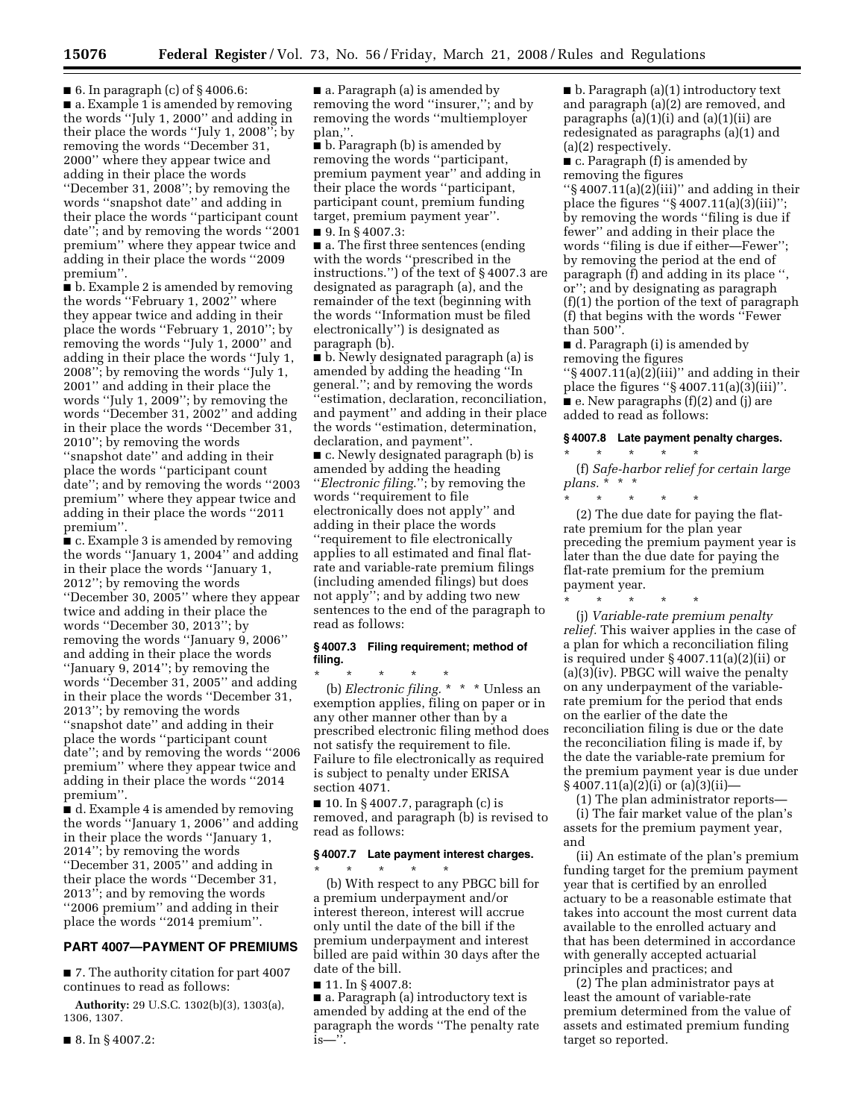■ 6. In paragraph (c) of § 4006.6:  $\blacksquare$  a. Example 1 is amended by removing the words ''July 1, 2000'' and adding in their place the words ''July 1, 2008''; by removing the words ''December 31, 2000'' where they appear twice and adding in their place the words ''December 31, 2008''; by removing the words ''snapshot date'' and adding in their place the words ''participant count date''; and by removing the words ''2001 premium'' where they appear twice and adding in their place the words ''2009 premium''.

■ b. Example 2 is amended by removing the words ''February 1, 2002'' where they appear twice and adding in their place the words ''February 1, 2010''; by removing the words ''July 1, 2000'' and adding in their place the words ''July 1, 2008''; by removing the words ''July 1, 2001'' and adding in their place the words ''July 1, 2009''; by removing the words ''December 31, 2002'' and adding in their place the words ''December 31, 2010''; by removing the words ''snapshot date'' and adding in their place the words ''participant count date''; and by removing the words ''2003 premium'' where they appear twice and adding in their place the words ''2011 premium''.

■ c. Example 3 is amended by removing the words ''January 1, 2004'' and adding in their place the words ''January 1, 2012''; by removing the words ''December 30, 2005'' where they appear twice and adding in their place the words ''December 30, 2013''; by removing the words "January 9, 2006" and adding in their place the words ''January 9, 2014''; by removing the words ''December 31, 2005'' and adding in their place the words ''December 31, 2013''; by removing the words ''snapshot date'' and adding in their place the words ''participant count date''; and by removing the words ''2006 premium'' where they appear twice and adding in their place the words ''2014 premium''.

■ d. Example 4 is amended by removing the words ''January 1, 2006'' and adding in their place the words ''January 1, 2014''; by removing the words ''December 31, 2005'' and adding in their place the words ''December 31, 2013''; and by removing the words ''2006 premium'' and adding in their place the words ''2014 premium''.

## **PART 4007—PAYMENT OF PREMIUMS**

■ 7. The authority citation for part 4007 continues to read as follows:

**Authority:** 29 U.S.C. 1302(b)(3), 1303(a), 1306, 1307.

■ 8. In § 4007.2:

■ a. Paragraph (a) is amended by removing the word ''insurer,''; and by removing the words ''multiemployer plan,''.

■ b. Paragraph (b) is amended by removing the words ''participant, premium payment year'' and adding in their place the words ''participant, participant count, premium funding target, premium payment year''. ■ 9. In § 4007.3:

■ a. The first three sentences (ending with the words ''prescribed in the instructions.'') of the text of § 4007.3 are designated as paragraph (a), and the remainder of the text (beginning with the words ''Information must be filed electronically'') is designated as paragraph (b).

■ b. Newly designated paragraph (a) is amended by adding the heading ''In general.''; and by removing the words ''estimation, declaration, reconciliation, and payment'' and adding in their place the words ''estimation, determination, declaration, and payment''.

■ c. Newly designated paragraph (b) is amended by adding the heading ''*Electronic filing*.''; by removing the words ''requirement to file electronically does not apply'' and adding in their place the words ''requirement to file electronically applies to all estimated and final flatrate and variable-rate premium filings (including amended filings) but does not apply''; and by adding two new sentences to the end of the paragraph to read as follows:

## **§ 4007.3 Filing requirement; method of filing.**

\* \* \* \* \* (b) *Electronic filing.* \* \* \* Unless an exemption applies, filing on paper or in any other manner other than by a prescribed electronic filing method does not satisfy the requirement to file. Failure to file electronically as required is subject to penalty under ERISA section 4071.

■ 10. In § 4007.7, paragraph (c) is removed, and paragraph (b) is revised to read as follows:

### **§ 4007.7 Late payment interest charges.**

\* \* \* \* \* (b) With respect to any PBGC bill for a premium underpayment and/or interest thereon, interest will accrue only until the date of the bill if the premium underpayment and interest billed are paid within 30 days after the date of the bill.

■ 11. In § 4007.8:

■ a. Paragraph (a) introductory text is amended by adding at the end of the paragraph the words ''The penalty rate is—''.

■ b. Paragraph (a)(1) introductory text and paragraph (a)(2) are removed, and paragraphs  $(a)(1)(i)$  and  $(a)(1)(ii)$  are redesignated as paragraphs (a)(1) and (a)(2) respectively.

■ c. Paragraph (f) is amended by removing the figures

" $\frac{1}{2}$  4007.11(a)(2)(iii)" and adding in their place the figures ''§ 4007.11(a)(3)(iii)''; by removing the words ''filing is due if fewer'' and adding in their place the words ''filing is due if either—Fewer''; by removing the period at the end of paragraph (f) and adding in its place '', or''; and by designating as paragraph (f)(1) the portion of the text of paragraph (f) that begins with the words ''Fewer than 500''.

■ d. Paragraph (i) is amended by removing the figures

" $\frac{1}{5}$  4007.11(a)(2)(iii)" and adding in their place the figures ''§ 4007.11(a)(3)(iii)''. ■ e. New paragraphs (f)(2) and (j) are added to read as follows:

#### **§ 4007.8 Late payment penalty charges.**

\* \* \* \* \*

(f) *Safe-harbor relief for certain large plans.* \* \* \*  $*$  \*

(2) The due date for paying the flatrate premium for the plan year preceding the premium payment year is later than the due date for paying the flat-rate premium for the premium payment year.

\* \* \* \* \* (j) *Variable-rate premium penalty relief.* This waiver applies in the case of a plan for which a reconciliation filing is required under § 4007.11(a)(2)(ii) or (a)(3)(iv). PBGC will waive the penalty on any underpayment of the variablerate premium for the period that ends on the earlier of the date the reconciliation filing is due or the date the reconciliation filing is made if, by the date the variable-rate premium for the premium payment year is due under § 4007.11(a)(2)(i) or (a)(3)(ii)—

(1) The plan administrator reports— (i) The fair market value of the plan's assets for the premium payment year, and

(ii) An estimate of the plan's premium funding target for the premium payment year that is certified by an enrolled actuary to be a reasonable estimate that takes into account the most current data available to the enrolled actuary and that has been determined in accordance with generally accepted actuarial principles and practices; and

(2) The plan administrator pays at least the amount of variable-rate premium determined from the value of assets and estimated premium funding target so reported.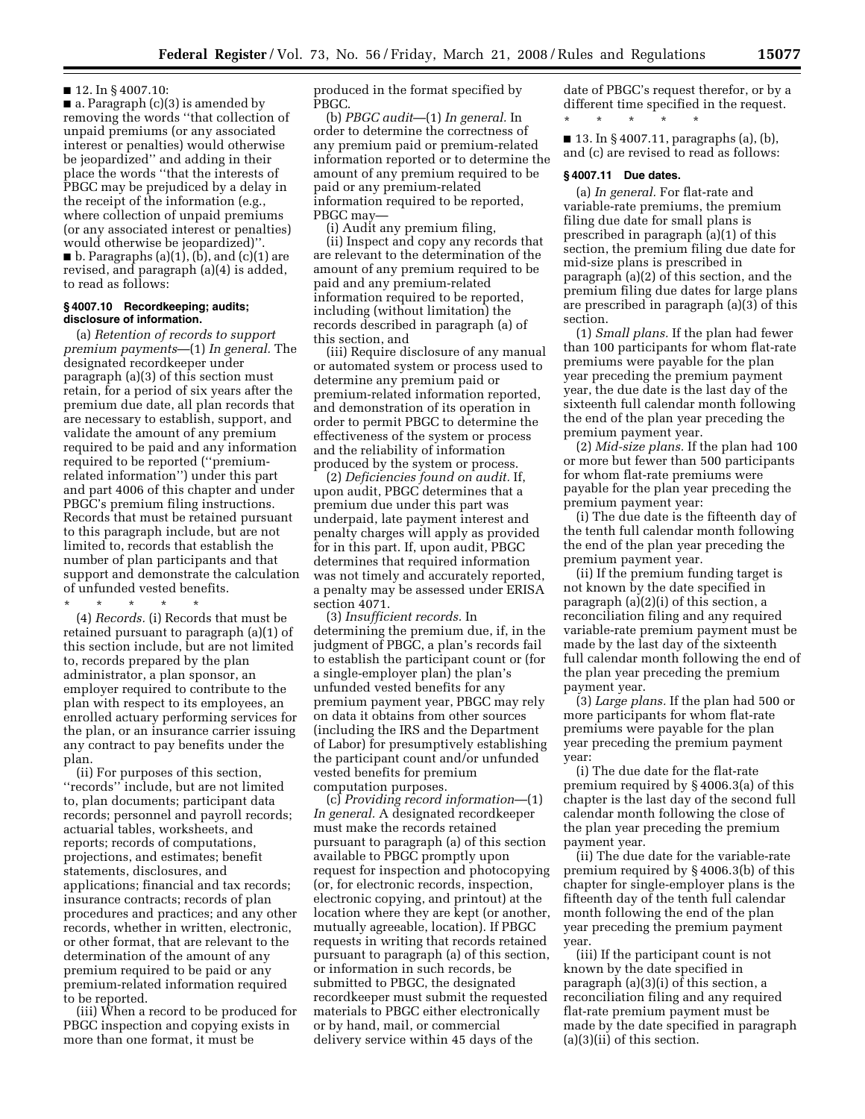# ■ 12. In § 4007.10:

 $\blacksquare$  a. Paragraph (c)(3) is amended by removing the words ''that collection of unpaid premiums (or any associated interest or penalties) would otherwise be jeopardized'' and adding in their place the words ''that the interests of PBGC may be prejudiced by a delay in the receipt of the information (e.g., where collection of unpaid premiums (or any associated interest or penalties) would otherwise be jeopardized)''.  $\blacksquare$  b. Paragraphs (a)(1), (b), and (c)(1) are revised, and paragraph (a)(4) is added, to read as follows:

### **§ 4007.10 Recordkeeping; audits; disclosure of information.**

(a) *Retention of records to support premium payments*—(1) *In general.* The designated recordkeeper under paragraph (a)(3) of this section must retain, for a period of six years after the premium due date, all plan records that are necessary to establish, support, and validate the amount of any premium required to be paid and any information required to be reported (''premiumrelated information'') under this part and part 4006 of this chapter and under PBGC's premium filing instructions. Records that must be retained pursuant to this paragraph include, but are not limited to, records that establish the number of plan participants and that support and demonstrate the calculation of unfunded vested benefits.

\* \* \* \* \*

(4) *Records.* (i) Records that must be retained pursuant to paragraph (a)(1) of this section include, but are not limited to, records prepared by the plan administrator, a plan sponsor, an employer required to contribute to the plan with respect to its employees, an enrolled actuary performing services for the plan, or an insurance carrier issuing any contract to pay benefits under the plan.

(ii) For purposes of this section, ''records'' include, but are not limited to, plan documents; participant data records; personnel and payroll records; actuarial tables, worksheets, and reports; records of computations, projections, and estimates; benefit statements, disclosures, and applications; financial and tax records; insurance contracts; records of plan procedures and practices; and any other records, whether in written, electronic, or other format, that are relevant to the determination of the amount of any premium required to be paid or any premium-related information required to be reported.

(iii) When a record to be produced for PBGC inspection and copying exists in more than one format, it must be

produced in the format specified by PBGC.

(b) *PBGC audit*—(1) *In general.* In order to determine the correctness of any premium paid or premium-related information reported or to determine the amount of any premium required to be paid or any premium-related information required to be reported, PBGC may—

(i) Audit any premium filing,

(ii) Inspect and copy any records that are relevant to the determination of the amount of any premium required to be paid and any premium-related information required to be reported, including (without limitation) the records described in paragraph (a) of this section, and

(iii) Require disclosure of any manual or automated system or process used to determine any premium paid or premium-related information reported, and demonstration of its operation in order to permit PBGC to determine the effectiveness of the system or process and the reliability of information produced by the system or process.

(2) *Deficiencies found on audit.* If, upon audit, PBGC determines that a premium due under this part was underpaid, late payment interest and penalty charges will apply as provided for in this part. If, upon audit, PBGC determines that required information was not timely and accurately reported, a penalty may be assessed under ERISA section 4071.

(3) *Insufficient records.* In determining the premium due, if, in the judgment of PBGC, a plan's records fail to establish the participant count or (for a single-employer plan) the plan's unfunded vested benefits for any premium payment year, PBGC may rely on data it obtains from other sources (including the IRS and the Department of Labor) for presumptively establishing the participant count and/or unfunded vested benefits for premium computation purposes.

(c) *Providing record information*—(1) *In general.* A designated recordkeeper must make the records retained pursuant to paragraph (a) of this section available to PBGC promptly upon request for inspection and photocopying (or, for electronic records, inspection, electronic copying, and printout) at the location where they are kept (or another, mutually agreeable, location). If PBGC requests in writing that records retained pursuant to paragraph (a) of this section, or information in such records, be submitted to PBGC, the designated recordkeeper must submit the requested materials to PBGC either electronically or by hand, mail, or commercial delivery service within 45 days of the

date of PBGC's request therefor, or by a different time specified in the request. \* \* \* \* \*

■ 13. In § 4007.11, paragraphs (a), (b), and (c) are revised to read as follows:

#### **§ 4007.11 Due dates.**

(a) *In general.* For flat-rate and variable-rate premiums, the premium filing due date for small plans is prescribed in paragraph (a)(1) of this section, the premium filing due date for mid-size plans is prescribed in paragraph (a)(2) of this section, and the premium filing due dates for large plans are prescribed in paragraph (a)(3) of this section.

(1) *Small plans.* If the plan had fewer than 100 participants for whom flat-rate premiums were payable for the plan year preceding the premium payment year, the due date is the last day of the sixteenth full calendar month following the end of the plan year preceding the premium payment year.

(2) *Mid-size plans.* If the plan had 100 or more but fewer than 500 participants for whom flat-rate premiums were payable for the plan year preceding the premium payment year:

(i) The due date is the fifteenth day of the tenth full calendar month following the end of the plan year preceding the premium payment year.

(ii) If the premium funding target is not known by the date specified in paragraph (a)(2)(i) of this section, a reconciliation filing and any required variable-rate premium payment must be made by the last day of the sixteenth full calendar month following the end of the plan year preceding the premium payment year.

(3) *Large plans.* If the plan had 500 or more participants for whom flat-rate premiums were payable for the plan year preceding the premium payment year:

(i) The due date for the flat-rate premium required by § 4006.3(a) of this chapter is the last day of the second full calendar month following the close of the plan year preceding the premium payment year.

(ii) The due date for the variable-rate premium required by § 4006.3(b) of this chapter for single-employer plans is the fifteenth day of the tenth full calendar month following the end of the plan year preceding the premium payment year.

(iii) If the participant count is not known by the date specified in paragraph (a)(3)(i) of this section, a reconciliation filing and any required flat-rate premium payment must be made by the date specified in paragraph (a)(3)(ii) of this section.